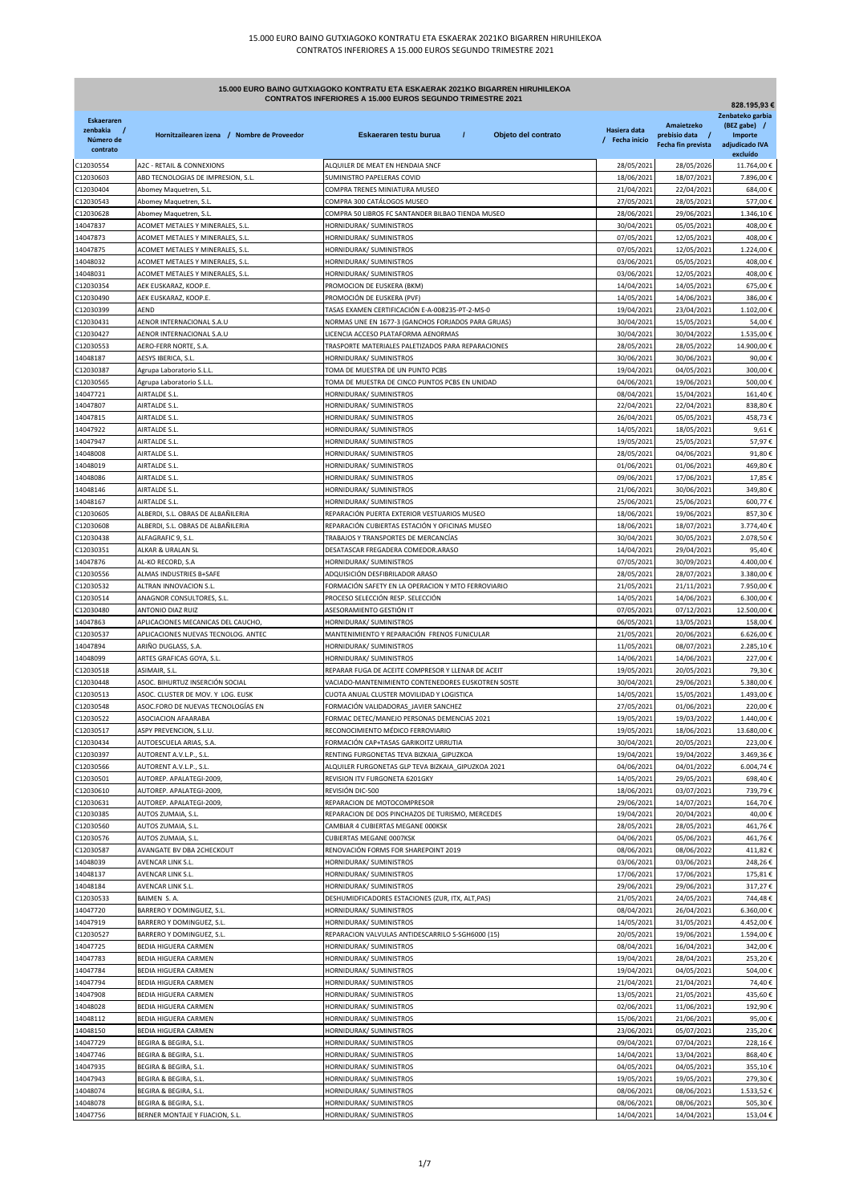| 15.000 EURO BAINO GUTXIAGOKO KONTRATU ETA ESKAERAK 2021KO BIGARREN HIRUHILEKOA<br>CONTRATOS INFERIORES A 15.000 EUROS SEGUNDO TRIMESTRE 2021<br>828.195,93 € |                                                                          |                                                                                     |                                |                               |                                             |
|--------------------------------------------------------------------------------------------------------------------------------------------------------------|--------------------------------------------------------------------------|-------------------------------------------------------------------------------------|--------------------------------|-------------------------------|---------------------------------------------|
| <b>Eskaeraren</b><br>zenbakia<br>$\prime$<br>Número de                                                                                                       | Hornitzailearen izena / Nombre de Proveedor                              | $\prime$<br>Eskaeraren testu burua<br>Objeto del contrato                           | Hasiera data<br>/ Fecha inicio | Amaietzeko<br>prebisio data / | Zenbateko garbia<br>(BEZ gabe) /<br>Importe |
| contrato                                                                                                                                                     |                                                                          |                                                                                     |                                | Fecha fin prevista            | adjudicado IVA<br>excluído                  |
| 212030554                                                                                                                                                    | <b>A2C - RETAIL &amp; CONNEXIONS</b>                                     | ALQUILER DE MEAT EN HENDAIA SNCF                                                    | 28/05/2021                     | 28/05/2026                    | 11.764,00€                                  |
| C12030603                                                                                                                                                    | ABD TECNOLOGIAS DE IMPRESION, S.L.                                       | SUMINISTRO PAPELERAS COVID                                                          | 18/06/2021                     | 18/07/2021                    | 7.896,00€                                   |
| C12030404<br>012030543                                                                                                                                       | Abomey Maquetren, S.L.<br>Abomey Maquetren, S.L.                         | COMPRA TRENES MINIATURA MUSEO<br>COMPRA 300 CATÁLOGOS MUSEO                         | 21/04/2021<br>27/05/2021       | 22/04/2021<br>28/05/2021      | 684,00€<br>577,00€                          |
| C12030628                                                                                                                                                    | Abomey Maquetren, S.L.                                                   | COMPRA 50 LIBROS FC SANTANDER BILBAO TIENDA MUSEO                                   | 28/06/2021                     | 29/06/2021                    | 1.346,10€                                   |
| 14047837                                                                                                                                                     | ACOMET METALES Y MINERALES, S.L.                                         | HORNIDURAK/ SUMINISTROS                                                             | 30/04/2021                     | 05/05/2021                    | 408,00€                                     |
| 14047873                                                                                                                                                     | ACOMET METALES Y MINERALES, S.L.                                         | HORNIDURAK/ SUMINISTROS                                                             | 07/05/2021                     | 12/05/2021                    | 408,00€                                     |
| 14047875                                                                                                                                                     | ACOMET METALES Y MINERALES, S.L.                                         | HORNIDURAK/ SUMINISTROS                                                             | 07/05/2021                     | 12/05/2021                    | 1.224,00€                                   |
| 14048032<br>14048031                                                                                                                                         | ACOMET METALES Y MINERALES, S.L.<br>ACOMET METALES Y MINERALES, S.L.     | HORNIDURAK/ SUMINISTROS<br>HORNIDURAK/ SUMINISTROS                                  | 03/06/2021<br>03/06/2021       | 05/05/2021<br>12/05/2021      | 408,00€<br>408.00€                          |
| C12030354                                                                                                                                                    | AEK EUSKARAZ, KOOP.E.                                                    | PROMOCION DE EUSKERA (BKM)                                                          | 14/04/2021                     | 14/05/2021                    | 675,00€                                     |
| C12030490                                                                                                                                                    | AEK EUSKARAZ, KOOP.E.                                                    | PROMOCIÓN DE EUSKERA (PVF)                                                          | 14/05/2021                     | 14/06/2021                    | 386,00€                                     |
| C12030399                                                                                                                                                    | AEND                                                                     | TASAS EXAMEN CERTIFICACIÓN E-A-008235-PT-2-MS-0                                     | 19/04/2021                     | 23/04/2021                    | 1.102,00€                                   |
| 012030431                                                                                                                                                    | AENOR INTERNACIONAL S.A.U                                                | NORMAS UNE EN 1677-3 (GANCHOS FORJADOS PARA GRUAS)                                  | 30/04/2021                     | 15/05/2021                    | 54,00€                                      |
| C12030427                                                                                                                                                    | AENOR INTERNACIONAL S.A.U                                                | LICENCIA ACCESO PLATAFORMA AENORMAS                                                 | 30/04/2021                     | 30/04/2022                    | 1.535,00€                                   |
| 012030553<br>14048187                                                                                                                                        | AERO-FERR NORTE, S.A.<br>AESYS IBERICA, S.L.                             | TRASPORTE MATERIALES PALETIZADOS PARA REPARACIONES<br>HORNIDURAK/ SUMINISTROS       | 28/05/2021<br>30/06/2021       | 28/05/2022<br>30/06/2021      | 14.900,00€<br>90,00€                        |
| C12030387                                                                                                                                                    | Agrupa Laboratorio S.L.L.                                                | TOMA DE MUESTRA DE UN PUNTO PCBS                                                    | 19/04/2021                     | 04/05/2021                    | 300,00€                                     |
| 12030565                                                                                                                                                     | Agrupa Laboratorio S.L.L.                                                | TOMA DE MUESTRA DE CINCO PUNTOS PCBS EN UNIDAD                                      | 04/06/2021                     | 19/06/2021                    | 500,00€                                     |
| 14047721                                                                                                                                                     | AIRTALDE S.L.                                                            | HORNIDURAK/ SUMINISTROS                                                             | 08/04/2021                     | 15/04/2021                    | 161.40€                                     |
| 14047807                                                                                                                                                     | AIRTALDE S.L.                                                            | HORNIDURAK/ SUMINISTROS                                                             | 22/04/2021                     | 22/04/2021                    | 838,80€                                     |
| 14047815                                                                                                                                                     | AIRTALDE S.L.                                                            | HORNIDURAK/ SUMINISTROS                                                             | 26/04/2021                     | 05/05/2021                    | 458,73€                                     |
| 14047922                                                                                                                                                     | AIRTALDE S.L.                                                            | HORNIDURAK/ SUMINISTROS                                                             | 14/05/2021                     | 18/05/2021                    | 9,61€                                       |
| 14047947<br>14048008                                                                                                                                         | AIRTALDE S.L.<br>AIRTALDE S.L.                                           | HORNIDURAK/ SUMINISTROS<br>HORNIDURAK/ SUMINISTROS                                  | 19/05/2021<br>28/05/2021       | 25/05/2021<br>04/06/2021      | 57,97€<br>91,80€                            |
| 14048019                                                                                                                                                     | AIRTALDE S.L.                                                            | HORNIDURAK/ SUMINISTROS                                                             | 01/06/2021                     | 01/06/2021                    | 469,80€                                     |
| 14048086                                                                                                                                                     | AIRTALDE S.L.                                                            | HORNIDURAK/ SUMINISTROS                                                             | 09/06/2021                     | 17/06/2021                    | 17,85€                                      |
| 14048146                                                                                                                                                     | AIRTALDE S.L.                                                            | HORNIDURAK/ SUMINISTROS                                                             | 21/06/2021                     | 30/06/2021                    | 349,80€                                     |
| 14048167                                                                                                                                                     | AIRTALDE S.L.                                                            | HORNIDURAK/ SUMINISTROS                                                             | 25/06/2021                     | 25/06/2021                    | 600,77€                                     |
| C12030605                                                                                                                                                    | ALBERDI, S.L. OBRAS DE ALBAÑILERIA                                       | REPARACIÓN PUERTA EXTERIOR VESTUARIOS MUSEO                                         | 18/06/2021                     | 19/06/2021                    | 857,30€                                     |
| 12030608                                                                                                                                                     | ALBERDI, S.L. OBRAS DE ALBAÑILERIA                                       | REPARACIÓN CUBIERTAS ESTACIÓN Y OFICINAS MUSEO                                      | 18/06/2021                     | 18/07/2021                    | 3.774,40€                                   |
| C12030438<br>C12030351                                                                                                                                       | ALFAGRAFIC 9, S.L.<br>ALKAR & URALAN SL                                  | TRABAJOS Y TRANSPORTES DE MERCANCÍAS<br>DESATASCAR FREGADERA COMEDOR.ARASO          | 30/04/2021<br>14/04/2021       | 30/05/2021<br>29/04/2021      | 2.078,50€<br>95,40€                         |
| 14047876                                                                                                                                                     | AL-KO RECORD, S.A                                                        | HORNIDURAK/ SUMINISTROS                                                             | 07/05/2021                     | 30/09/2021                    | 4.400,00€                                   |
| C12030556                                                                                                                                                    | ALMAS INDUSTRIES B+SAFE                                                  | ADQUISICIÓN DESFIBRILADOR ARASO                                                     | 28/05/2021                     | 28/07/2021                    | 3.380,00€                                   |
| C12030532                                                                                                                                                    | ALTRAN INNOVACION S.L.                                                   | FORMACIÓN SAFETY EN LA OPERACION Y MTO FERROVIARIO                                  | 21/05/2021                     | 21/11/2021                    | 7.950,00€                                   |
| C12030514                                                                                                                                                    | ANAGNOR CONSULTORES, S.L.                                                | PROCESO SELECCIÓN RESP. SELECCIÓN                                                   | 14/05/2021                     | 14/06/2021                    | 6.300,00€                                   |
| C12030480                                                                                                                                                    | ANTONIO DIAZ RUIZ                                                        | ASESORAMIENTO GESTIÓN IT                                                            | 07/05/2021                     | 07/12/2021                    | 12.500,00€                                  |
| 14047863<br>C12030537                                                                                                                                        | APLICACIONES MECANICAS DEL CAUCHO<br>APLICACIONES NUEVAS TECNOLOG. ANTEC | HORNIDURAK/ SUMINISTROS<br>MANTENIMIENTO Y REPARACIÓN FRENOS FUNICULAR              | 06/05/2021<br>21/05/2021       | 13/05/2021<br>20/06/2021      | 158,00€<br>6.626,00€                        |
| 14047894                                                                                                                                                     | ARIÑO DUGLASS, S.A.                                                      | HORNIDURAK/ SUMINISTROS                                                             | 11/05/2021                     | 08/07/2021                    | 2.285,10€                                   |
| 14048099                                                                                                                                                     | ARTES GRAFICAS GOYA, S.L.                                                | HORNIDURAK/ SUMINISTROS                                                             | 14/06/2021                     | 14/06/2021                    | 227,00€                                     |
| C12030518                                                                                                                                                    | ASIMAIR, S.L.                                                            | REPARAR FUGA DE ACEITE COMPRESOR Y LLENAR DE ACEIT                                  | 19/05/2021                     | 20/05/2021                    | 79,30€                                      |
| C12030448                                                                                                                                                    | ASOC. BIHURTUZ INSERCIÓN SOCIAL                                          | VACIADO-MANTENIMIENTO CONTENEDORES EUSKOTREN SOSTE                                  | 30/04/2021                     | 29/06/2021                    | 5.380,00€                                   |
| C12030513                                                                                                                                                    | ASOC. CLUSTER DE MOV. Y LOG. EUSK                                        | CUOTA ANUAL CLUSTER MOVILIDAD Y LOGISTICA                                           | 14/05/2021                     | 15/05/2021                    | 1.493,00€                                   |
| C12030548                                                                                                                                                    | ASOC.FORO DE NUEVAS TECNOLOGÍAS EN<br>ASOCIACION AFAARABA                | FORMACIÓN VALIDADORAS_JAVIER SANCHEZ<br>FORMAC DETEC/MANEJO PERSONAS DEMENCIAS 2021 | 27/05/2021                     | 01/06/2021                    | 220,00€                                     |
| C12030522<br>C12030517                                                                                                                                       | ASPY PREVENCION, S.L.U.                                                  | RECONOCIMIENTO MÉDICO FERROVIARIO                                                   | 19/05/2021<br>19/05/2021       | 19/03/2022<br>18/06/2021      | 1.440,00 €<br>13.680,00€                    |
| C12030434                                                                                                                                                    | AUTOESCUELA ARIAS, S.A.                                                  | FORMACIÓN CAP+TASAS GARIKOITZ URRUTIA                                               | 30/04/2021                     | 20/05/2021                    | 223,00€                                     |
| C12030397                                                                                                                                                    | AUTORENT A.V.L.P., S.L.                                                  | RENTING FURGONETAS TEVA BIZKAIA_GIPUZKOA                                            | 19/04/2021                     | 19/04/2022                    | 3.469,36€                                   |
| C12030566                                                                                                                                                    | AUTORENT A.V.L.P., S.L.                                                  | ALQUILER FURGONETAS GLP TEVA BIZKAIA_GIPUZKOA 2021                                  | 04/06/2021                     | 04/01/2022                    | 6.004,74€                                   |
| C12030501                                                                                                                                                    | AUTOREP. APALATEGI-2009,                                                 | REVISION ITV FURGONETA 6201GKY                                                      | 14/05/2021                     | 29/05/2021                    | 698,40€                                     |
| C12030610                                                                                                                                                    | AUTOREP. APALATEGI-2009                                                  | REVISIÓN DIC-500                                                                    | 18/06/2021                     | 03/07/2021                    | 739,79€                                     |
| C12030631<br>C12030385                                                                                                                                       | AUTOREP. APALATEGI-2009,<br>AUTOS ZUMAIA, S.L                            | REPARACION DE MOTOCOMPRESOR<br>REPARACION DE DOS PINCHAZOS DE TURISMO, MERCEDES     | 29/06/2021<br>19/04/2021       | 14/07/2021<br>20/04/2021      | 164,70€<br>40,00€                           |
| C12030560                                                                                                                                                    | AUTOS ZUMAIA, S.L                                                        | CAMBIAR 4 CUBIERTAS MEGANE 000KSK                                                   | 28/05/2021                     | 28/05/2021                    | 461,76€                                     |
| C12030576                                                                                                                                                    | AUTOS ZUMAIA, S.L.                                                       | CUBIERTAS MEGANE 0007KSK                                                            | 04/06/2021                     | 05/06/2021                    | 461,76€                                     |
| C12030587                                                                                                                                                    | AVANGATE BV DBA 2CHECKOUT                                                | RENOVACIÓN FORMS FOR SHAREPOINT 2019                                                | 08/06/2021                     | 08/06/2022                    | 411,82€                                     |
| 14048039                                                                                                                                                     | AVENCAR LINK S.L.                                                        | HORNIDURAK/ SUMINISTROS                                                             | 03/06/2021                     | 03/06/2021                    | 248,26€                                     |
| 14048137                                                                                                                                                     | AVENCAR LINK S.L.                                                        | HORNIDURAK/ SUMINISTROS                                                             | 17/06/2021                     | 17/06/2021                    | 175,81€                                     |
| 14048184<br>C12030533                                                                                                                                        | AVENCAR LINK S.L.<br>BAIMEN S.A.                                         | HORNIDURAK/ SUMINISTROS<br>DESHUMIDFICADORES ESTACIONES (ZUR, ITX, ALT, PAS)        | 29/06/2021<br>21/05/2021       | 29/06/2021<br>24/05/2021      | 317,27€<br>744,48€                          |
| 14047720                                                                                                                                                     | BARRERO Y DOMINGUEZ, S.L.                                                | HORNIDURAK/ SUMINISTROS                                                             | 08/04/2021                     | 26/04/2021                    | 6.360,00€                                   |
| 14047919                                                                                                                                                     | BARRERO Y DOMINGUEZ, S.L.                                                | HORNIDURAK/ SUMINISTROS                                                             | 14/05/2021                     | 31/05/2021                    | 4.452,00€                                   |
| C12030527                                                                                                                                                    | BARRERO Y DOMINGUEZ, S.L.                                                | REPARACION VALVULAS ANTIDESCARRILO S-SGH6000 (15)                                   | 20/05/2021                     | 19/06/2021                    | 1.594,00€                                   |
| 14047725                                                                                                                                                     | BEDIA HIGUERA CARMEN                                                     | HORNIDURAK/ SUMINISTROS                                                             | 08/04/2021                     | 16/04/2021                    | 342,00€                                     |
| 14047783                                                                                                                                                     | BEDIA HIGUERA CARMEN                                                     | HORNIDURAK/ SUMINISTROS                                                             | 19/04/2021                     | 28/04/2021                    | 253,20€                                     |
| 14047784                                                                                                                                                     | BEDIA HIGUERA CARMEN                                                     | HORNIDURAK/ SUMINISTROS                                                             | 19/04/2021                     | 04/05/2021                    | 504,00€                                     |
| 14047794<br>14047908                                                                                                                                         | BEDIA HIGUERA CARMEN<br>BEDIA HIGUERA CARMEN                             | HORNIDURAK/ SUMINISTROS<br>HORNIDURAK/ SUMINISTROS                                  | 21/04/2021<br>13/05/2021       | 21/04/2021<br>21/05/2021      | 74,40€<br>435,60€                           |
| 14048028                                                                                                                                                     | BEDIA HIGUERA CARMEN                                                     | HORNIDURAK/ SUMINISTROS                                                             | 02/06/2021                     | 11/06/2021                    | 192,90€                                     |
| 14048112                                                                                                                                                     | BEDIA HIGUERA CARMEN                                                     | HORNIDURAK/ SUMINISTROS                                                             | 15/06/2021                     | 21/06/2021                    | 95,00€                                      |
| 14048150                                                                                                                                                     | BEDIA HIGUERA CARMEN                                                     | HORNIDURAK/ SUMINISTROS                                                             | 23/06/2021                     | 05/07/2021                    | 235,20€                                     |
| 14047729                                                                                                                                                     | BEGIRA & BEGIRA, S.L.                                                    | HORNIDURAK/ SUMINISTROS                                                             | 09/04/2021                     | 07/04/2021                    | 228,16€                                     |
| 14047746                                                                                                                                                     | BEGIRA & BEGIRA, S.L.                                                    | HORNIDURAK/ SUMINISTROS                                                             | 14/04/2021                     | 13/04/2021                    | 868,40€                                     |
| 14047935                                                                                                                                                     | BEGIRA & BEGIRA, S.L.                                                    | HORNIDURAK/ SUMINISTROS                                                             | 04/05/2021                     | 04/05/2021                    | 355,10€                                     |
| 14047943<br>14048074                                                                                                                                         | BEGIRA & BEGIRA, S.L.<br>BEGIRA & BEGIRA, S.L.                           | HORNIDURAK/ SUMINISTROS<br>HORNIDURAK/ SUMINISTROS                                  | 19/05/2021<br>08/06/2021       | 19/05/2021<br>08/06/2021      | 279,30€<br>1.533,52€                        |
| 14048078                                                                                                                                                     | BEGIRA & BEGIRA, S.L.                                                    | HORNIDURAK/ SUMINISTROS                                                             | 08/06/2021                     | 08/06/2021                    | 505,30€                                     |
| 14047756                                                                                                                                                     | BERNER MONTAJE Y FIJACION, S.L.                                          | HORNIDURAK/ SUMINISTROS                                                             | 14/04/2021                     | 14/04/2021                    | 153,04€                                     |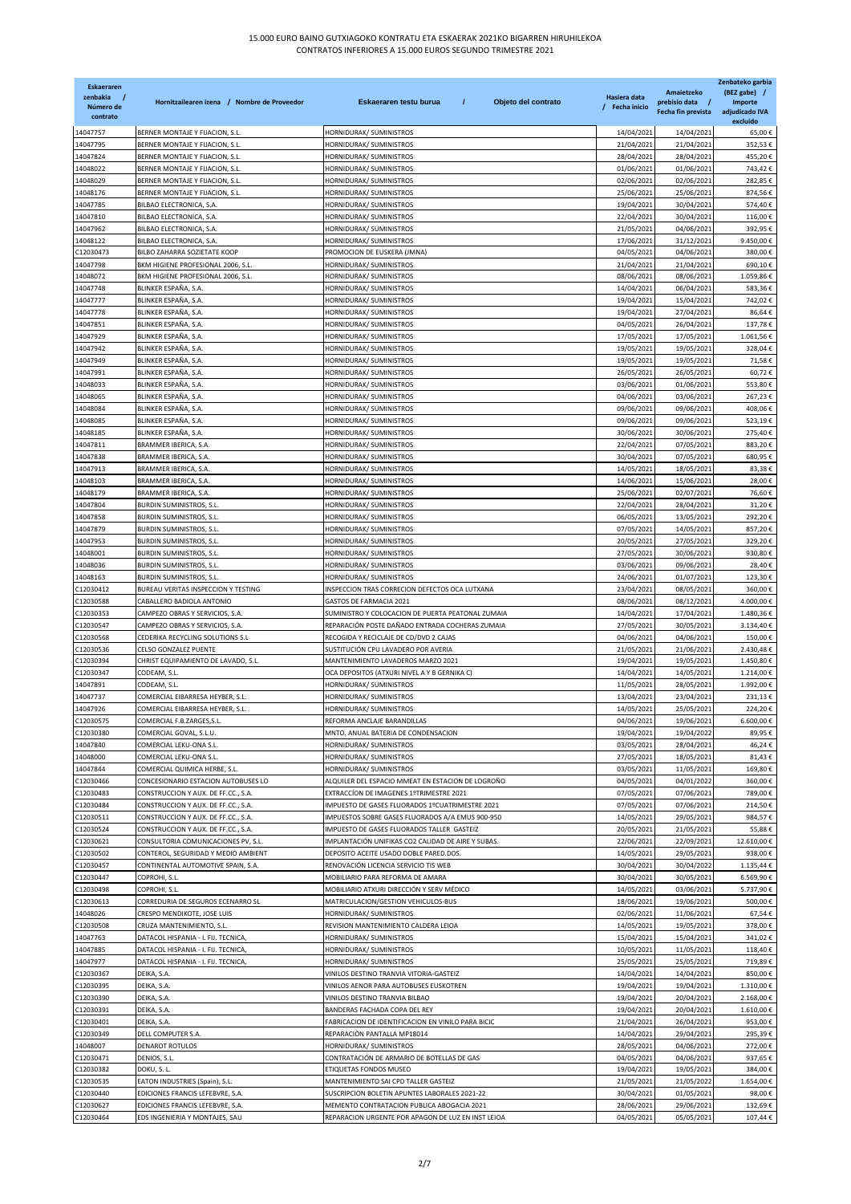| <b>Eskaeraren</b><br>zenbakia<br>Número de<br>contrato | Hornitzailearen izena / Nombre de Proveedor                                | Eskaeraren testu burua<br>$\prime$<br>Objeto del contrato                                    | Hasiera data<br>/ Fecha inicio | Amaietzeko<br>prebisio data /<br>Fecha fin prevista | Zenbateko garbia<br>(BEZ gabe) /<br>Importe<br>adjudicado IVA<br>excluído |
|--------------------------------------------------------|----------------------------------------------------------------------------|----------------------------------------------------------------------------------------------|--------------------------------|-----------------------------------------------------|---------------------------------------------------------------------------|
| 14047757                                               | BERNER MONTAJE Y FIJACION, S.L.                                            | HORNIDURAK/ SUMINISTROS                                                                      | 14/04/2021                     | 14/04/2021                                          | 65,00€                                                                    |
| 14047795                                               | BERNER MONTAJE Y FIJACION, S.L.                                            | HORNIDURAK/ SUMINISTROS                                                                      | 21/04/2021                     | 21/04/2021                                          | 352,53€                                                                   |
| 14047824                                               | BERNER MONTAJE Y FIJACION, S.L.                                            | HORNIDURAK/ SUMINISTROS                                                                      | 28/04/2021                     | 28/04/2021                                          | 455,20€                                                                   |
| 14048022                                               | BERNER MONTAJE Y FIJACION, S.L.                                            | HORNIDURAK/ SUMINISTROS                                                                      | 01/06/2021                     | 01/06/2021                                          | 743,42€                                                                   |
| 14048029<br>14048176                                   | BERNER MONTAJE Y FIJACION, S.L.<br>BERNER MONTAJE Y FIJACION, S.L.         | HORNIDURAK/ SUMINISTROS<br>HORNIDURAK/ SUMINISTROS                                           | 02/06/2021<br>25/06/2021       | 02/06/2021<br>25/06/2021                            | 282,85€<br>874,56€                                                        |
| 14047785                                               | BILBAO ELECTRONICA, S.A.                                                   | HORNIDURAK/ SUMINISTROS                                                                      | 19/04/2021                     | 30/04/2021                                          | 574,40€                                                                   |
| 14047810                                               | BILBAO ELECTRONICA, S.A.                                                   | HORNIDURAK/ SUMINISTROS                                                                      | 22/04/2021                     | 30/04/2021                                          | 116,00€                                                                   |
| 14047962                                               | BILBAO ELECTRONICA, S.A.                                                   | HORNIDURAK/ SUMINISTROS                                                                      | 21/05/2021                     | 04/06/2021                                          | 392,95€                                                                   |
| 14048122                                               | BILBAO ELECTRONICA, S.A.                                                   | HORNIDURAK/ SUMINISTROS                                                                      | 17/06/2021                     | 31/12/2021                                          | 9.450,00€                                                                 |
| C12030473                                              | BILBO ZAHARRA SOZIETATE KOOP                                               | PROMOCION DE EUSKERA (JMNA)                                                                  | 04/05/2021                     | 04/06/2021                                          | 380,00€                                                                   |
| 14047798                                               | BKM HIGIENE PROFESIONAL 2006, S.L.                                         | HORNIDURAK/ SUMINISTROS                                                                      | 21/04/2021                     | 21/04/2021                                          | 690,10€                                                                   |
| 14048072                                               | BKM HIGIENE PROFESIONAL 2006, S.L.                                         | HORNIDURAK/ SUMINISTROS                                                                      | 08/06/2021                     | 08/06/2021                                          | 1.059,86€                                                                 |
| 14047748                                               | BLINKER ESPAÑA, S.A.                                                       | HORNIDURAK/ SUMINISTROS                                                                      | 14/04/2021                     | 06/04/2021                                          | 583,36€                                                                   |
| 14047777                                               | BLINKER ESPAÑA, S.A.                                                       | HORNIDURAK/ SUMINISTROS                                                                      | 19/04/2021                     | 15/04/2021                                          | 742,02€                                                                   |
| 14047778<br>14047851                                   | BLINKER ESPAÑA, S.A.<br>BLINKER ESPAÑA, S.A                                | HORNIDURAK/ SUMINISTROS<br>HORNIDURAK/ SUMINISTROS                                           | 19/04/2021<br>04/05/2021       | 27/04/2021<br>26/04/2021                            | 86,64€<br>137,78€                                                         |
| 14047929                                               | BLINKER ESPAÑA, S.A.                                                       | HORNIDURAK/ SUMINISTROS                                                                      | 17/05/2021                     | 17/05/2021                                          | 1.061,56€                                                                 |
| 14047942                                               | BLINKER ESPAÑA, S.A.                                                       | HORNIDURAK/ SUMINISTROS                                                                      | 19/05/2021                     | 19/05/2021                                          | 328,04€                                                                   |
| 14047949                                               | BLINKER ESPAÑA, S.A.                                                       | HORNIDURAK/ SUMINISTROS                                                                      | 19/05/2021                     | 19/05/2021                                          | 71,58€                                                                    |
| 14047991                                               | BLINKER ESPAÑA, S.A.                                                       | HORNIDURAK/ SUMINISTROS                                                                      | 26/05/2021                     | 26/05/2021                                          | 60,72€                                                                    |
| 14048033                                               | BLINKER ESPAÑA, S.A                                                        | HORNIDURAK/ SUMINISTROS                                                                      | 03/06/2021                     | 01/06/2021                                          | 553,80€                                                                   |
| 14048065                                               | BLINKER ESPAÑA, S.A.                                                       | HORNIDURAK/ SUMINISTROS                                                                      | 04/06/2021                     | 03/06/2021                                          | 267,23€                                                                   |
| 14048084                                               | BLINKER ESPAÑA, S.A.                                                       | HORNIDURAK/ SUMINISTROS                                                                      | 09/06/2021                     | 09/06/2021                                          | 408,06€                                                                   |
| 14048085                                               | BLINKER ESPAÑA, S.A.                                                       | HORNIDURAK/ SUMINISTROS                                                                      | 09/06/2021                     | 09/06/2021                                          | 523,19€                                                                   |
| 14048185<br>14047811                                   | BLINKER ESPAÑA, S.A.<br>BRAMMER IBERICA, S.A                               | HORNIDURAK/ SUMINISTROS<br>HORNIDURAK/ SUMINISTROS                                           | 30/06/2021<br>22/04/2021       | 30/06/2021<br>07/05/2021                            | 275,40€<br>883,20€                                                        |
| 14047838                                               | BRAMMER IBERICA, S.A.                                                      | HORNIDURAK/ SUMINISTROS                                                                      | 30/04/2021                     | 07/05/2021                                          | 680,95€                                                                   |
| 14047913                                               | BRAMMER IBERICA, S.A.                                                      | HORNIDURAK/ SUMINISTROS                                                                      | 14/05/2021                     | 18/05/2021                                          | 83,38€                                                                    |
| 14048103                                               | BRAMMER IBERICA, S.A.                                                      | HORNIDURAK/ SUMINISTROS                                                                      | 14/06/2021                     | 15/06/2021                                          | 28,00€                                                                    |
| 14048179                                               | BRAMMER IBERICA, S.A.                                                      | HORNIDURAK/ SUMINISTROS                                                                      | 25/06/2021                     | 02/07/2021                                          | 76,60€                                                                    |
| 14047804                                               | <b>BURDIN SUMINISTROS, S.L.</b>                                            | HORNIDURAK/ SUMINISTROS                                                                      | 22/04/2021                     | 28/04/2021                                          | 31,20€                                                                    |
| 14047858                                               | BURDIN SUMINISTROS, S.L.                                                   | HORNIDURAK/ SUMINISTROS                                                                      | 06/05/2021                     | 13/05/2021                                          | 292,20€                                                                   |
| 14047879                                               | <b>BURDIN SUMINISTROS, S.L.</b>                                            | HORNIDURAK/ SUMINISTROS                                                                      | 07/05/2021                     | 14/05/2021                                          | 857,20€                                                                   |
| 14047953                                               | <b>BURDIN SUMINISTROS, S.L.</b>                                            | HORNIDURAK/ SUMINISTROS                                                                      | 20/05/2021                     | 27/05/2021                                          | 329,20€                                                                   |
| 14048001                                               | <b>BURDIN SUMINISTROS, S.L</b>                                             | HORNIDURAK/ SUMINISTROS                                                                      | 27/05/2021                     | 30/06/2021                                          | 930,80€                                                                   |
| 14048036<br>14048163                                   | <b>BURDIN SUMINISTROS, S.L</b><br>BURDIN SUMINISTROS, S.L.                 | HORNIDURAK/ SUMINISTROS<br>HORNIDURAK/ SUMINISTROS                                           | 03/06/2021<br>24/06/2021       | 09/06/2021<br>01/07/2021                            | 28,40€<br>123,30€                                                         |
| C12030412                                              | BUREAU VERITAS INSPECCION Y TESTING                                        | INSPECCION TRAS CORRECION DEFECTOS OCA LUTXANA                                               | 23/04/2021                     | 08/05/2021                                          | 360,00€                                                                   |
| C12030588                                              | CABALLERO BADIOLA ANTONIO                                                  | GASTOS DE FARMACIA 2021                                                                      | 08/06/2021                     | 08/12/2021                                          | 4.000,00 €                                                                |
| C12030353                                              | CAMPEZO OBRAS Y SERVICIOS, S.A.                                            | SUMINISTRO Y COLOCACION DE PUERTA PEATONAL ZUMAIA                                            | 14/04/2021                     | 17/04/2021                                          | 1.480,36€                                                                 |
| C12030547                                              | CAMPEZO OBRAS Y SERVICIOS, S.A                                             | REPARACIÓN POSTE DAÑADO ENTRADA COCHERAS ZUMAIA                                              | 27/05/2021                     | 30/05/2021                                          | 3.134,40€                                                                 |
| C12030568                                              | CEDERIKA RECYCLING SOLUTIONS S.L                                           | RECOGIDA Y RECICLAJE DE CD/DVD 2 CAJAS                                                       | 04/06/2021                     | 04/06/2021                                          | 150,00€                                                                   |
| C12030536                                              | CELSO GONZALEZ PUENTE                                                      | SUSTITUCIÓN CPU LAVADERO POR AVERIA                                                          | 21/05/2021                     | 21/06/2021                                          | 2.430,48€                                                                 |
| C12030394<br>C12030347                                 | CHRIST EQUIPAMIENTO DE LAVADO, S.L.<br>CODEAM, S.L                         | MANTENIMIENTO LAVADEROS MARZO 2021                                                           | 19/04/2021<br>14/04/2021       | 19/05/2021                                          | 1.450,80€<br>1.214,00€                                                    |
| 14047891                                               | CODEAM, S.L.                                                               | OCA DEPOSITOS (ATXURI NIVEL A Y B GERNIKA C)<br>HORNIDURAK/ SUMINISTROS                      | 11/05/2021                     | 14/05/2021<br>28/05/2021                            | 1.992,00€                                                                 |
| 14047737                                               | COMERCIAL EIBARRESA HEYBER, S.L.                                           | HORNIDURAK/ SUMINISTROS                                                                      | 13/04/2021                     | 23/04/2021                                          | 231,13€                                                                   |
| 14047926                                               | COMERCIAL EIBARRESA HEYBER, S.L.                                           | HORNIDURAK/ SUMINISTROS                                                                      | 14/05/2021                     | 25/05/2021                                          | 224,20€                                                                   |
| C12030575                                              | COMERCIAL F.B.ZARGES,S.L.                                                  | REFORMA ANCLAJE BARANDILLAS                                                                  | 04/06/2021                     | 19/06/2021                                          | 6.600,00€                                                                 |
| C12030380                                              | COMERCIAL GOVAL, S.L.U.                                                    | MNTO. ANUAL BATERIA DE CONDENSACION                                                          | 19/04/2021                     | 19/04/2022                                          | 89,95€                                                                    |
| 14047840                                               | COMERCIAL LEKU-ONA S.L.                                                    | HORNIDURAK/ SUMINISTROS                                                                      | 03/05/2021                     | 28/04/2021                                          | 46,24€                                                                    |
| 14048000                                               | COMERCIAL LEKU-ONA S.L.                                                    | HORNIDURAK/ SUMINISTROS                                                                      | 27/05/2021                     | 18/05/2021                                          | 81,43€                                                                    |
| 14047844                                               | COMERCIAL QUIMICA HERBE, S.L.                                              | HORNIDURAK/ SUMINISTROS                                                                      | 03/05/2021                     | 11/05/2021                                          | 169,80€                                                                   |
| C12030466<br>C12030483                                 | CONCESIONARIO ESTACION AUTOBUSES LO<br>CONSTRUCCION Y AUX. DE FF.CC., S.A. | ALQUILER DEL ESPACIO MMEAT EN ESTACION DE LOGROÑO<br>EXTRACCÍON DE IMAGENES 1ºTRIMESTRE 2021 | 04/05/2021<br>07/05/2021       | 04/01/2022<br>07/06/2021                            | 360,00€<br>789,00€                                                        |
| C12030484                                              | CONSTRUCCION Y AUX. DE FF.CC., S.A.                                        | IMPUESTO DE GASES FLUORADOS 1ºCUATRIMESTRE 2021                                              | 07/05/2021                     | 07/06/2021                                          | 214,50€                                                                   |
| C12030511                                              | CONSTRUCCION Y AUX. DE FF.CC., S.A.                                        | IMPUESTOS SOBRE GASES FLUORADOS A/A EMUS 900-950                                             | 14/05/2021                     | 29/05/2021                                          | 984,57€                                                                   |
| C12030524                                              | CONSTRUCCION Y AUX. DE FF.CC., S.A.                                        | IMPUESTO DE GASES FLUORADOS TALLER GASTEIZ                                                   | 20/05/2021                     | 21/05/2021                                          | 55,88€                                                                    |
| C12030621                                              | CONSULTORIA COMUNICACIONES PV, S.L.                                        | IMPLANTACIÓN UNIFIKAS CO2 CALIDAD DE AIRE Y SUBAS.                                           | 22/06/2021                     | 22/09/2021                                          | 12.610,00€                                                                |
| C12030502                                              | CONTEROL, SEGURIDAD Y MEDIO AMBIENT                                        | DEPOSITO ACEITE USADO DOBLE PARED.DOS.                                                       | 14/05/2021                     | 29/05/2021                                          | 938,00€                                                                   |
| C12030457                                              | CONTINENTAL AUTOMOTIVE SPAIN, S.A.                                         | RENOVACIÓN LICENCIA SERVICIO TIS WEB                                                         | 30/04/2021                     | 30/04/2022                                          | 1.135,44 €                                                                |
| C12030447                                              | COPROHI, S.L.                                                              | MOBILIARIO PARA REFORMA DE AMARA                                                             | 30/04/2021                     | 30/05/2021                                          | 6.569,90€                                                                 |
| C12030498                                              | COPROHI, S.L.                                                              | MOBILIARIO ATXURI DIRECCIÓN Y SERV MÉDICO                                                    | 14/05/2021                     | 03/06/2021                                          | 5.737,90€                                                                 |
| C12030613                                              | CORREDURIA DE SEGUROS ECENARRO SL                                          | MATRICULACION/GESTION VEHICULOS-BUS                                                          | 18/06/2021                     | 19/06/2021                                          | 500,00€                                                                   |
| 14048026<br>C12030508                                  | CRESPO MENDIKOTE, JOSE LUIS<br>CRUZA MANTENIMIENTO, S.L.                   | HORNIDURAK/ SUMINISTROS<br>REVISION MANTENIMIENTO CALDERA LEIOA                              | 02/06/2021<br>14/05/2021       | 11/06/2021<br>19/05/2021                            | 67,54€<br>378,00€                                                         |
| 14047763                                               | DATACOL HISPANIA - I. FIJ. TECNICA,                                        | HORNIDURAK/ SUMINISTROS                                                                      | 15/04/2021                     | 15/04/2021                                          | 341,02€                                                                   |
| 14047885                                               | DATACOL HISPANIA - I. FIJ. TECNICA,                                        | HORNIDURAK/ SUMINISTROS                                                                      | 10/05/2021                     | 11/05/2021                                          | 118,40€                                                                   |
| 14047977                                               | DATACOL HISPANIA - I. FIJ. TECNICA,                                        | HORNIDURAK/ SUMINISTROS                                                                      | 25/05/2021                     | 25/05/2021                                          | 719,89€                                                                   |
| C12030367                                              | DEIKA, S.A.                                                                | VINILOS DESTINO TRANVIA VITORIA-GASTEIZ                                                      | 14/04/2021                     | 14/04/2021                                          | 850,00€                                                                   |
| C12030395                                              | DEIKA, S.A.                                                                | VINILOS AENOR PARA AUTOBUSES EUSKOTREN                                                       | 19/04/2021                     | 19/04/2021                                          | 1.310,00€                                                                 |
| C12030390                                              | DEIKA, S.A.                                                                | VINILOS DESTINO TRANVIA BILBAO                                                               | 19/04/2021                     | 20/04/2021                                          | 2.168,00€                                                                 |
| C12030391                                              | DEIKA, S.A.                                                                | BANDERAS FACHADA COPA DEL REY                                                                | 19/04/2021                     | 20/04/2021                                          | 1.610,00€                                                                 |
| C12030401                                              | DEIKA, S.A.                                                                | FABRICACION DE IDENTIFICACION EN VINILO PARA BICIC                                           | 21/04/2021                     | 26/04/2021                                          | 953,00€                                                                   |
| C12030349                                              | DELL COMPUTER S.A.                                                         | REPARACIÓN PANTALLA MP18014                                                                  | 14/04/2021                     | 29/04/2021                                          | 295,39€                                                                   |
| 14048007<br>C12030471                                  | <b>DENAROT ROTULOS</b>                                                     | HORNIDURAK/ SUMINISTROS<br>CONTRATACIÓN DE ARMARIO DE BOTELLAS DE GAS                        | 28/05/2021<br>04/05/2021       | 04/06/2021<br>04/06/2021                            | 272,00€                                                                   |
| C12030382                                              | DENIOS, S.L.<br>DOKU, S. L.                                                | ETIQUETAS FONDOS MUSEO                                                                       | 19/04/2021                     | 19/05/2021                                          | 937,65€<br>384,00€                                                        |
| C12030535                                              | EATON INDUSTRIES (Spain), S.L.                                             | MANTENIMIENTO SAI CPD TALLER GASTEIZ                                                         | 21/05/2021                     | 21/05/2022                                          | 1.654,00€                                                                 |
| C12030440                                              | EDICIONES FRANCIS LEFEBVRE, S.A.                                           | SUSCRIPCION BOLETIN APUNTES LABORALES 2021-22                                                | 30/04/2021                     | 01/05/2021                                          | 98,00€                                                                    |
| C12030627                                              | EDICIONES FRANCIS LEFEBVRE, S.A.                                           | MEMENTO CONTRATACION PUBLICA ABOGACIA 2021                                                   | 28/06/2021                     | 29/06/2021                                          | 132,69€                                                                   |
| C12030464                                              | EDS INGENIERIA Y MONTAJES, SAU                                             | REPARACION URGENTE POR APAGON DE LUZ EN INST LEIOA                                           | 04/05/2021                     | 05/05/2021                                          | 107,44€                                                                   |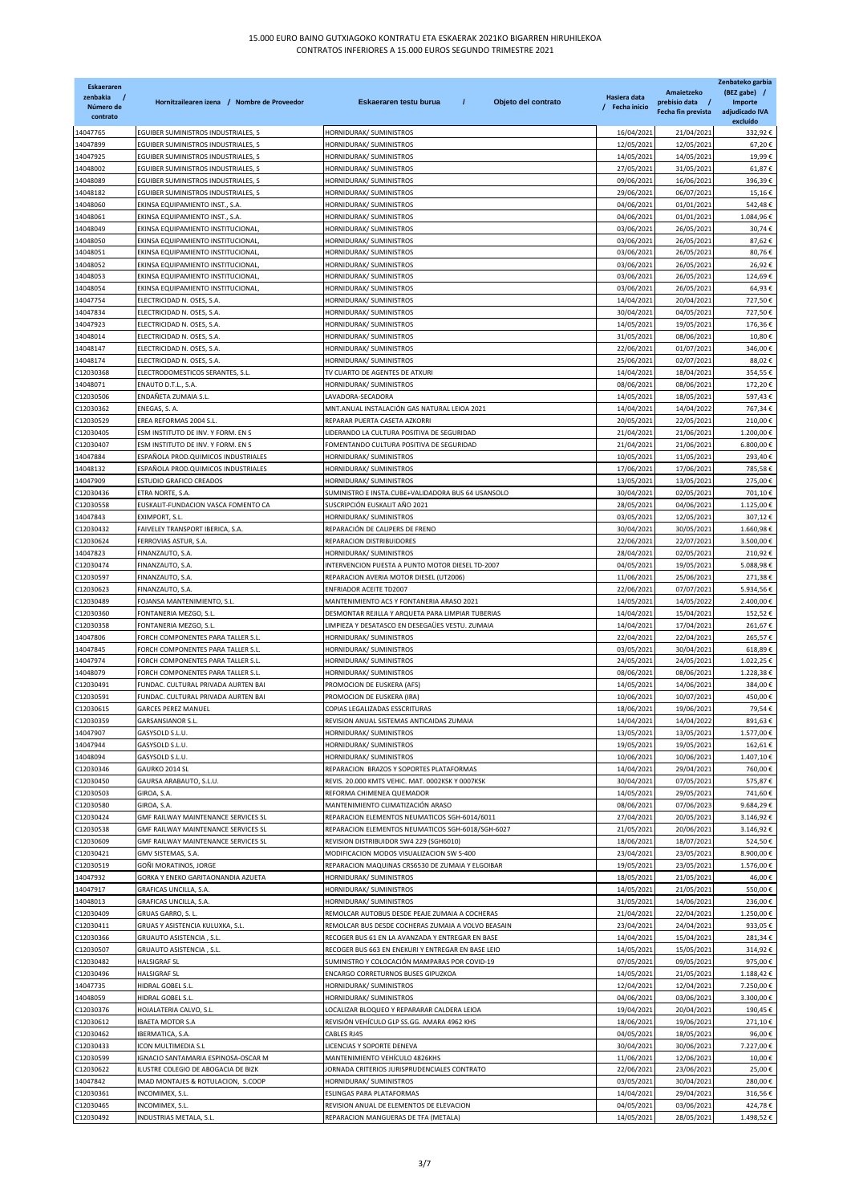| <b>Eskaeraren</b><br>zenbakia<br>Número de<br>contrato | Hornitzailearen izena / Nombre de Proveedor                                | Eskaeraren testu burua<br>$\prime$<br>Objeto del contrato                                      | Hasiera data<br>/ Fecha inicio | Amaietzeko<br>prebisio data /<br>Fecha fin prevista | Zenbateko garbia<br>(BEZ gabe) /<br>Importe<br>adjudicado IVA<br>excluído |
|--------------------------------------------------------|----------------------------------------------------------------------------|------------------------------------------------------------------------------------------------|--------------------------------|-----------------------------------------------------|---------------------------------------------------------------------------|
| 14047765                                               | EGUIBER SUMINISTROS INDUSTRIALES, S                                        | HORNIDURAK/ SUMINISTROS                                                                        | 16/04/2021                     | 21/04/2021                                          | 332,92€                                                                   |
| 14047899                                               | EGUIBER SUMINISTROS INDUSTRIALES, S                                        | HORNIDURAK/ SUMINISTROS                                                                        | 12/05/2021                     | 12/05/2021                                          | 67,20€                                                                    |
| 14047925<br>14048002                                   | EGUIBER SUMINISTROS INDUSTRIALES, S<br>EGUIBER SUMINISTROS INDUSTRIALES, S | HORNIDURAK/ SUMINISTROS                                                                        | 14/05/2021                     | 14/05/2021                                          | 19,99€                                                                    |
| 14048089                                               | EGUIBER SUMINISTROS INDUSTRIALES, S                                        | HORNIDURAK/ SUMINISTROS<br>HORNIDURAK/ SUMINISTROS                                             | 27/05/2021<br>09/06/2021       | 31/05/2021<br>16/06/2021                            | 61,87€<br>396,39€                                                         |
| 14048182                                               | EGUIBER SUMINISTROS INDUSTRIALES, S                                        | HORNIDURAK/ SUMINISTROS                                                                        | 29/06/2021                     | 06/07/2021                                          | 15,16€                                                                    |
| 14048060                                               | EKINSA EQUIPAMIENTO INST., S.A.                                            | HORNIDURAK/ SUMINISTROS                                                                        | 04/06/2021                     | 01/01/2021                                          | 542,48€                                                                   |
| 14048061                                               | EKINSA EQUIPAMIENTO INST., S.A.                                            | HORNIDURAK/ SUMINISTROS                                                                        | 04/06/2021                     | 01/01/2021                                          | 1.084,96€                                                                 |
| 14048049                                               | EKINSA EQUIPAMIENTO INSTITUCIONAL                                          | HORNIDURAK/ SUMINISTROS<br><b>HORNIDURAK/ SUMINISTROS</b>                                      | 03/06/2021                     | 26/05/2021                                          | 30,74€                                                                    |
| 14048050<br>14048051                                   | EKINSA EQUIPAMIENTO INSTITUCIONAL<br>EKINSA EQUIPAMIENTO INSTITUCIONAL     | HORNIDURAK/ SUMINISTROS                                                                        | 03/06/2021<br>03/06/2021       | 26/05/2021<br>26/05/2021                            | 87,62€<br>80,76€                                                          |
| 14048052                                               | EKINSA EQUIPAMIENTO INSTITUCIONAL                                          | HORNIDURAK/ SUMINISTROS                                                                        | 03/06/2021                     | 26/05/2021                                          | 26,92€                                                                    |
| 14048053                                               | EKINSA EQUIPAMIENTO INSTITUCIONAL                                          | HORNIDURAK/ SUMINISTROS                                                                        | 03/06/2021                     | 26/05/2021                                          | 124,69€                                                                   |
| 14048054                                               | EKINSA EQUIPAMIENTO INSTITUCIONAL                                          | HORNIDURAK/ SUMINISTROS                                                                        | 03/06/2021                     | 26/05/2021                                          | 64,93€                                                                    |
| 14047754                                               | ELECTRICIDAD N. OSES, S.A                                                  | HORNIDURAK/ SUMINISTROS                                                                        | 14/04/2021                     | 20/04/2021                                          | 727,50€                                                                   |
| 14047834<br>14047923                                   | ELECTRICIDAD N. OSES, S.A<br>ELECTRICIDAD N. OSES, S.A                     | HORNIDURAK/ SUMINISTROS<br>HORNIDURAK/ SUMINISTROS                                             | 30/04/2021<br>14/05/2021       | 04/05/2021<br>19/05/2021                            | 727,50€<br>176,36€                                                        |
| 14048014                                               | ELECTRICIDAD N. OSES, S.A.                                                 | HORNIDURAK/ SUMINISTROS                                                                        | 31/05/2021                     | 08/06/2021                                          | 10,80€                                                                    |
| 14048147                                               | ELECTRICIDAD N. OSES, S.A.                                                 | HORNIDURAK/ SUMINISTROS                                                                        | 22/06/2021                     | 01/07/2021                                          | 346,00€                                                                   |
| 14048174                                               | ELECTRICIDAD N. OSES, S.A.                                                 | HORNIDURAK/ SUMINISTROS                                                                        | 25/06/2021                     | 02/07/2021                                          | 88,02€                                                                    |
| C12030368                                              | ELECTRODOMESTICOS SERANTES, S.L.                                           | TV CUARTO DE AGENTES DE ATXURI                                                                 | 14/04/2021                     | 18/04/2021                                          | 354,55€                                                                   |
| 14048071<br>C12030506                                  | ENAUTO D.T.L., S.A.<br>ENDAÑETA ZUMAIA S.L.                                | HORNIDURAK/ SUMINISTROS<br>LAVADORA-SECADORA                                                   | 08/06/2021<br>14/05/2021       | 08/06/2021<br>18/05/2021                            | 172,20€<br>597,43€                                                        |
| C12030362                                              | ENEGAS, S. A.                                                              | MNT.ANUAL INSTALACIÓN GAS NATURAL LEIOA 2021                                                   | 14/04/2021                     | 14/04/2022                                          | 767,34€                                                                   |
| C12030529                                              | EREA REFORMAS 2004 S.L                                                     | REPARAR PUERTA CASETA AZKORRI                                                                  | 20/05/2021                     | 22/05/2021                                          | 210,00€                                                                   |
| C12030405                                              | ESM INSTITUTO DE INV. Y FORM. EN S                                         | LIDERANDO LA CULTURA POSITIVA DE SEGURIDAD                                                     | 21/04/2021                     | 21/06/2021                                          | 1.200,00€                                                                 |
| C12030407                                              | ESM INSTITUTO DE INV. Y FORM. EN S                                         | FOMENTANDO CULTURA POSITIVA DE SEGURIDAD                                                       | 21/04/2021                     | 21/06/2021                                          | 6.800,00€                                                                 |
| 14047884<br>14048132                                   | ESPAÑOLA PROD.QUIMICOS INDUSTRIALES<br>ESPAÑOLA PROD.QUIMICOS INDUSTRIALES | HORNIDURAK/ SUMINISTROS<br>HORNIDURAK/ SUMINISTROS                                             | 10/05/2021<br>17/06/2021       | 11/05/2021<br>17/06/2021                            | 293,40€<br>785,58€                                                        |
| 14047909                                               | ESTUDIO GRAFICO CREADOS                                                    | HORNIDURAK/ SUMINISTROS                                                                        | 13/05/2021                     | 13/05/2021                                          | 275,00€                                                                   |
| C12030436                                              | ETRA NORTE, S.A.                                                           | SUMINISTRO E INSTA.CUBE+VALIDADORA BUS 64 USANSOLO                                             | 30/04/2021                     | 02/05/2021                                          | 701,10€                                                                   |
| C12030558                                              | EUSKALIT-FUNDACION VASCA FOMENTO CA                                        | SUSCRIPCIÓN EUSKALIT AÑO 2021                                                                  | 28/05/2021                     | 04/06/2021                                          | 1.125,00€                                                                 |
| 14047843                                               | EXIMPORT, S.L.                                                             | HORNIDURAK/ SUMINISTROS                                                                        | 03/05/2021                     | 12/05/2021                                          | 307,12€                                                                   |
| C12030432                                              | FAIVELEY TRANSPORT IBERICA, S.A.                                           | REPARACIÓN DE CALIPERS DE FRENO<br>REPARACION DISTRIBUIDORES                                   | 30/04/2021                     | 30/05/2021                                          | 1.660,98€                                                                 |
| C12030624<br>14047823                                  | FERROVIAS ASTUR, S.A.<br>FINANZAUTO, S.A.                                  | HORNIDURAK/ SUMINISTROS                                                                        | 22/06/2021<br>28/04/2021       | 22/07/2021<br>02/05/2021                            | 3.500,00€<br>210,92€                                                      |
| C12030474                                              | FINANZAUTO, S.A                                                            | INTERVENCION PUESTA A PUNTO MOTOR DIESEL TD-2007                                               | 04/05/2021                     | 19/05/2021                                          | 5.088,98€                                                                 |
| C12030597                                              | FINANZAUTO, S.A.                                                           | REPARACION AVERIA MOTOR DIESEL (UT2006)                                                        | 11/06/2021                     | 25/06/2021                                          | 271,38€                                                                   |
| C12030623                                              | FINANZAUTO, S.A.                                                           | <b>ENFRIADOR ACEITE TD2007</b>                                                                 | 22/06/2021                     | 07/07/2021                                          | 5.934,56€                                                                 |
| C12030489<br>C12030360                                 | FOJANSA MANTENIMIENTO, S.L.<br>FONTANERIA MEZGO, S.L.                      | MANTENIMIENTO ACS Y FONTANERIA ARASO 2021<br>DESMONTAR REJILLA Y ARQUETA PARA LIMPIAR TUBERIAS | 14/05/2021<br>14/04/2021       | 14/05/2022<br>15/04/2021                            | 2.400,00€<br>152,52€                                                      |
| C12030358                                              | FONTANERIA MEZGO, S.L                                                      | LIMPIEZA Y DESATASCO EN DESEGAÜES VESTU. ZUMAIA                                                | 14/04/2021                     | 17/04/2021                                          | 261,67€                                                                   |
| 14047806                                               | FORCH COMPONENTES PARA TALLER S.L.                                         | HORNIDURAK/ SUMINISTROS                                                                        | 22/04/2021                     | 22/04/2021                                          | 265,57€                                                                   |
| 14047845                                               | FORCH COMPONENTES PARA TALLER S.L                                          | HORNIDURAK/ SUMINISTROS                                                                        | 03/05/2021                     | 30/04/2021                                          | 618,89€                                                                   |
| 14047974                                               | FORCH COMPONENTES PARA TALLER S.L                                          | HORNIDURAK/ SUMINISTROS                                                                        | 24/05/2021                     | 24/05/2021                                          | 1.022,25€                                                                 |
| 14048079                                               | FORCH COMPONENTES PARA TALLER S.L<br>FUNDAC. CULTURAL PRIVADA AURTEN BAI   | HORNIDURAK/ SUMINISTROS<br>PROMOCION DE EUSKERA (AFS)                                          | 08/06/2021                     | 08/06/2021                                          | 1.228,38€                                                                 |
| C12030491<br>C12030591                                 | FUNDAC. CULTURAL PRIVADA AURTEN BAI                                        | PROMOCION DE EUSKERA (IRA)                                                                     | 14/05/2021<br>10/06/2021       | 14/06/2021<br>10/07/2021                            | 384,00€<br>450,00€                                                        |
| C12030615                                              | <b>GARCES PEREZ MANUEL</b>                                                 | COPIAS LEGALIZADAS ESSCRITURAS                                                                 | 18/06/2021                     | 19/06/2021                                          | 79,54€                                                                    |
| C12030359                                              | GARSANSIANOR S.L.                                                          | REVISION ANUAL SISTEMAS ANTICAIDAS ZUMAIA                                                      | 14/04/2021                     | 14/04/2022                                          | 891,63€                                                                   |
| 14047907                                               | GASYSOLD S.L.U.                                                            | HORNIDURAK/ SUMINISTROS                                                                        | 13/05/2021                     | 13/05/2021                                          | 1.577,00€                                                                 |
| 14047944<br>14048094                                   | GASYSOLD S.L.U.                                                            | HORNIDURAK/ SUMINISTROS                                                                        | 19/05/2021                     | 19/05/2021                                          | 162,61€                                                                   |
| C12030346                                              | GASYSOLD S.L.U.<br>GAURKO 2014 SL                                          | HORNIDURAK/ SUMINISTROS<br>REPARACION BRAZOS Y SOPORTES PLATAFORMAS                            | 10/06/2021<br>14/04/2021       | 10/06/2021<br>29/04/2021                            | 1.407,10€<br>760,00€                                                      |
| C12030450                                              | GAURSA ARABAUTO, S.L.U.                                                    | REVIS. 20.000 KMTS VEHIC. MAT. 0002KSK Y 0007KSK                                               | 30/04/2021                     | 07/05/2021                                          | 575,87€                                                                   |
| C12030503                                              | GIROA, S.A.                                                                | REFORMA CHIMENEA QUEMADOR                                                                      | 14/05/2021                     | 29/05/2021                                          | 741,60€                                                                   |
| C12030580                                              | GIROA, S.A.                                                                | MANTENIMIENTO CLIMATIZACIÓN ARASO                                                              | 08/06/2021                     | 07/06/2023                                          | 9.684,29€                                                                 |
| C12030424                                              | GMF RAILWAY MAINTENANCE SERVICES SL                                        | REPARACION ELEMENTOS NEUMATICOS SGH-6014/6011                                                  | 27/04/2021<br>21/05/2021       | 20/05/2021                                          | 3.146,92€                                                                 |
| C12030538<br>C12030609                                 | GMF RAILWAY MAINTENANCE SERVICES SL<br>GMF RAILWAY MAINTENANCE SERVICES SL | REPARACION ELEMENTOS NEUMATICOS SGH-6018/SGH-6027<br>REVISION DISTRIBUIDOR SW4 229 (SGH6010)   | 18/06/2021                     | 20/06/2021<br>18/07/2021                            | 3.146,92€<br>524,50€                                                      |
| C12030421                                              | GMV SISTEMAS, S.A.                                                         | MODIFICACION MODOS VISUALIZACION SW S-400                                                      | 23/04/2021                     | 23/05/2021                                          | 8.900,00€                                                                 |
| C12030519                                              | GOÑI MORATINOS, JORGE                                                      | REPARACION MAQUINAS CRS6530 DE ZUMAIA Y ELGOIBAR                                               | 19/05/2021                     | 23/05/2021                                          | 1.576,00€                                                                 |
| 14047932                                               | GORKA Y ENEKO GARITAONANDIA AZUETA                                         | HORNIDURAK/ SUMINISTROS                                                                        | 18/05/2021                     | 21/05/2021                                          | 46,00€                                                                    |
| 14047917                                               | GRAFICAS UNCILLA, S.A.                                                     | HORNIDURAK/ SUMINISTROS                                                                        | 14/05/2021                     | 21/05/2021                                          | 550,00€                                                                   |
| 14048013<br>C12030409                                  | GRAFICAS UNCILLA, S.A.<br>GRUAS GARRO, S. L.                               | HORNIDURAK/ SUMINISTROS<br>REMOLCAR AUTOBUS DESDE PEAJE ZUMAIA A COCHERAS                      | 31/05/2021<br>21/04/2021       | 14/06/2021<br>22/04/2021                            | 236,00€<br>1.250,00€                                                      |
| C12030411                                              | GRUAS Y ASISTENCIA KULUXKA, S.L.                                           | REMOLCAR BUS DESDE COCHERAS ZUMAIA A VOLVO BEASAIN                                             | 23/04/2021                     | 24/04/2021                                          | 933,05€                                                                   |
| C12030366                                              | GRUAUTO ASISTENCIA, S.L.                                                   | RECOGER BUS 61 EN LA AVANZADA Y ENTREGAR EN BASE                                               | 14/04/2021                     | 15/04/2021                                          | 281,34€                                                                   |
| C12030507                                              | GRUAUTO ASISTENCIA, S.L.                                                   | RECOGER BUS 663 EN ENEKURI Y ENTREGAR EN BASE LEIO                                             | 14/05/2021                     | 15/05/2021                                          | 314,92€                                                                   |
| C12030482                                              | HALSIGRAF SL                                                               | SUMINISTRO Y COLOCACIÓN MAMPARAS POR COVID-19                                                  | 07/05/2021                     | 09/05/2021                                          | 975,00€                                                                   |
| C12030496<br>14047735                                  | <b>HALSIGRAF SL</b><br>HIDRAL GOBEL S.L.                                   | ENCARGO CORRETURNOS BUSES GIPUZKOA<br>HORNIDURAK/ SUMINISTROS                                  | 14/05/2021<br>12/04/2021       | 21/05/2021<br>12/04/2021                            | 1.188,42€<br>7.250,00€                                                    |
| 14048059                                               | HIDRAL GOBEL S.L.                                                          | HORNIDURAK/ SUMINISTROS                                                                        | 04/06/2021                     | 03/06/2021                                          | 3.300,00€                                                                 |
| C12030376                                              | HOJALATERIA CALVO, S.L.                                                    | LOCALIZAR BLOQUEO Y REPARARAR CALDERA LEIOA                                                    | 19/04/2021                     | 20/04/2021                                          | 190,45€                                                                   |
| C12030612                                              | <b>IBAETA MOTOR S.A</b>                                                    | REVISIÓN VEHÍCULO GLP SS.GG. AMARA 4962 KHS                                                    | 18/06/2021                     | 19/06/2021                                          | 271,10€                                                                   |
| C12030462                                              | IBERMATICA, S.A.                                                           | CABLES RJ45                                                                                    | 04/05/2021                     | 18/05/2021                                          | 96,00€                                                                    |
| C12030433                                              | ICON MULTIMEDIA S.L                                                        | LICENCIAS Y SOPORTE DENEVA                                                                     | 30/04/2021                     | 30/06/2021                                          | 7.227,00€                                                                 |
| C12030599<br>C12030622                                 | IGNACIO SANTAMARIA ESPINOSA-OSCAR M<br>ILUSTRE COLEGIO DE ABOGACIA DE BIZK | MANTENIMIENTO VEHÍCULO 4826KHS<br>ORNADA CRITERIOS JURISPRUDENCIALES CONTRATO                  | 11/06/2021<br>22/06/2021       | 12/06/2021<br>23/06/2021                            | 10,00€<br>25,00€                                                          |
| 14047842                                               | IMAD MONTAJES & ROTULACION, S.COOP                                         | HORNIDURAK/ SUMINISTROS                                                                        | 03/05/2021                     | 30/04/2021                                          | 280,00€                                                                   |
| C12030361                                              | INCOMIMEX, S.L.                                                            | ESLINGAS PARA PLATAFORMAS                                                                      | 14/04/2021                     | 29/04/2021                                          | 316,56€                                                                   |
| C12030465                                              | INCOMIMEX, S.L.                                                            | REVISION ANUAL DE ELEMENTOS DE ELEVACION                                                       | 04/05/2021                     | 03/06/2021                                          | 424,78€                                                                   |
| C12030492                                              | INDUSTRIAS METALA, S.L.                                                    | REPARACION MANGUERAS DE TFA (METALA)                                                           | 14/05/2021                     | 28/05/2021                                          | 1.498,52€                                                                 |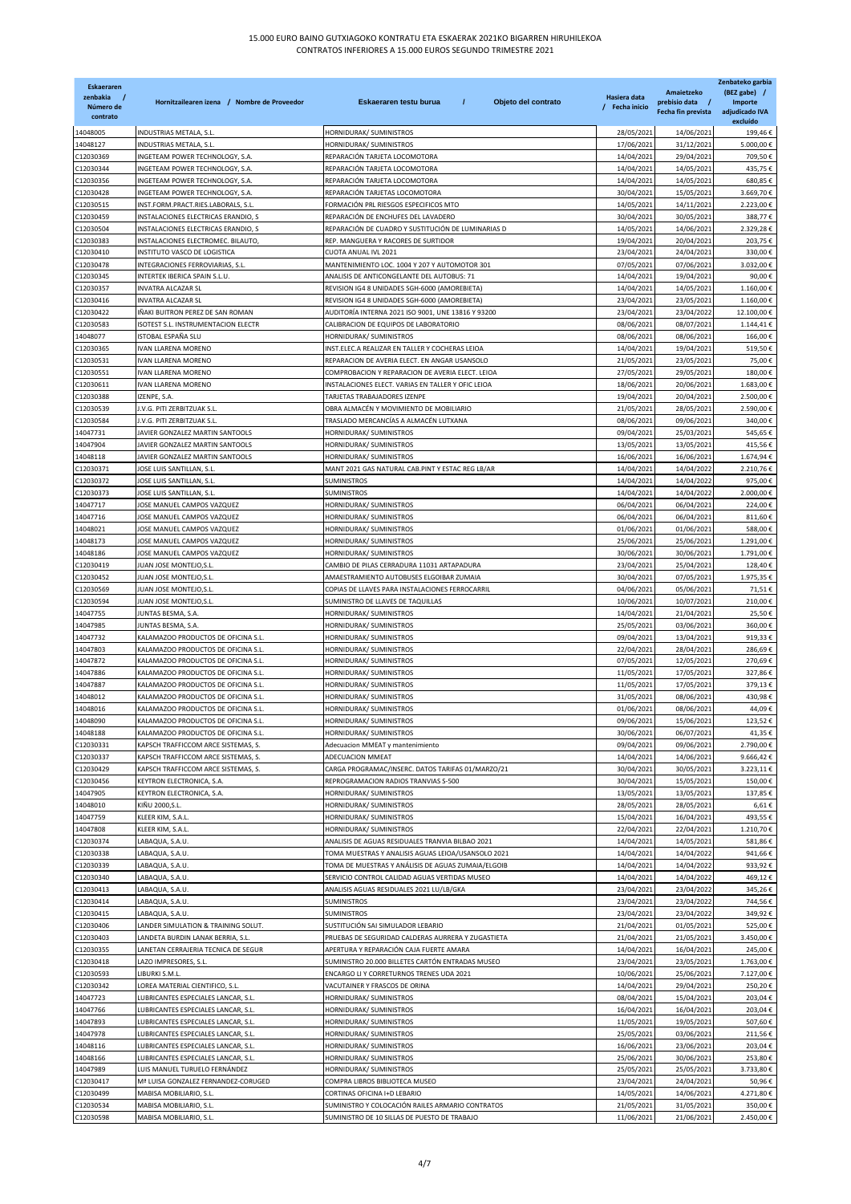| Eskaeraren<br>zenbakia<br>Número de<br>contrato | Hornitzailearen izena / Nombre de Proveedor                                | T<br>Eskaeraren testu burua<br>Objeto del contrato                                          | Hasiera data<br>/ Fecha inicio | Amaietzeko<br>prebisio data /<br>Fecha fin prevista | Zenbateko garbia<br>(BEZ gabe) /<br><b>Importe</b><br>adjudicado IVA<br>excluído |
|-------------------------------------------------|----------------------------------------------------------------------------|---------------------------------------------------------------------------------------------|--------------------------------|-----------------------------------------------------|----------------------------------------------------------------------------------|
| 14048005                                        | INDUSTRIAS METALA, S.L.                                                    | HORNIDURAK/ SUMINISTROS                                                                     | 28/05/2021                     | 14/06/2021                                          | 199,46€                                                                          |
| 14048127                                        | INDUSTRIAS METALA, S.L.                                                    | HORNIDURAK/ SUMINISTROS                                                                     | 17/06/202                      | 31/12/2021                                          | 5.000,00€                                                                        |
| C12030369                                       | INGETEAM POWER TECHNOLOGY, S.A                                             | REPARACIÓN TARJETA LOCOMOTORA                                                               | 14/04/2021                     | 29/04/2021                                          | 709,50€                                                                          |
| 12030344                                        | INGETEAM POWER TECHNOLOGY, S.A.                                            | REPARACIÓN TARJETA LOCOMOTORA                                                               | 14/04/2021                     | 14/05/2021                                          | 435,75€                                                                          |
| C12030356                                       | INGETEAM POWER TECHNOLOGY, S.A.                                            | REPARACIÓN TARJETA LOCOMOTORA                                                               | 14/04/2021                     | 14/05/2021                                          | 680,85€                                                                          |
| 012030428                                       | INGETEAM POWER TECHNOLOGY, S.A.                                            | REPARACIÓN TARJETAS LOCOMOTORA                                                              | 30/04/2021                     | 15/05/2021                                          | 3.669,70€                                                                        |
| C12030515                                       | INST.FORM.PRACT.RIES.LABORALS, S.L.                                        | FORMACIÓN PRL RIESGOS ESPECIFICOS MTO                                                       | 14/05/2021                     | 14/11/2021                                          | 2.223,00€                                                                        |
| C12030459<br>12030504                           | INSTALACIONES ELECTRICAS ERANDIO, S                                        | REPARACIÓN DE ENCHUFES DEL LAVADERO                                                         | 30/04/2021                     | 30/05/2021                                          | 388,77€                                                                          |
| C12030383                                       | INSTALACIONES ELECTRICAS ERANDIO, S<br>INSTALACIONES ELECTROMEC. BILAUTO,  | REPARACIÓN DE CUADRO Y SUSTITUCIÓN DE LUMINARIAS D<br>REP. MANGUERA Y RACORES DE SURTIDOR   | 14/05/2021<br>19/04/2021       | 14/06/2021<br>20/04/2021                            | 2.329,28€<br>203,75€                                                             |
| C12030410                                       | INSTITUTO VASCO DE LOGISTICA                                               | CUOTA ANUAL IVL 2021                                                                        | 23/04/202                      | 24/04/2021                                          | 330,00€                                                                          |
| C12030478                                       | INTEGRACIONES FERROVIARIAS, S.L.                                           | MANTENIMIENTO LOC. 1004 Y 207 Y AUTOMOTOR 301                                               | 07/05/2021                     | 07/06/2021                                          | 3.032,00€                                                                        |
| C12030345                                       | INTERTEK IBERICA SPAIN S.L.U.                                              | ANALISIS DE ANTICONGELANTE DEL AUTOBUS: 71                                                  | 14/04/2021                     | 19/04/2021                                          | 90,00€                                                                           |
| 212030357                                       | INVATRA ALCAZAR SL                                                         | REVISION IG4 8 UNIDADES SGH-6000 (AMOREBIETA)                                               | 14/04/2021                     | 14/05/2021                                          | 1.160,00€                                                                        |
| C12030416                                       | <b>INVATRA ALCAZAR SL</b>                                                  | REVISION IG4 8 UNIDADES SGH-6000 (AMOREBIETA)                                               | 23/04/2021                     | 23/05/2021                                          | 1.160,00€                                                                        |
| 212030422                                       | ÑAKI BUITRON PEREZ DE SAN ROMAN                                            | AUDITORÍA INTERNA 2021 ISO 9001, UNE 13816 Y 93200                                          | 23/04/2021                     | 23/04/2022                                          | 12.100,00€                                                                       |
| C12030583                                       | SOTEST S.L. INSTRUMENTACION ELECTR                                         | CALIBRACION DE EQUIPOS DE LABORATORIO                                                       | 08/06/2021                     | 08/07/2021                                          | 1.144,41€                                                                        |
| 14048077                                        | ISTOBAL ESPAÑA SLU                                                         | HORNIDURAK/ SUMINISTROS                                                                     | 08/06/2021                     | 08/06/2021                                          | 166,00€                                                                          |
| 012030365                                       | IVAN LLARENA MORENO                                                        | INST.ELEC.A REALIZAR EN TALLER Y COCHERAS LEIOA                                             | 14/04/2021                     | 19/04/2021                                          | 519,50€                                                                          |
| C12030531                                       | IVAN LLARENA MORENO                                                        | REPARACION DE AVERIA ELECT. EN ANGAR USANSOLO                                               | 21/05/2021                     | 23/05/2021                                          | 75,00€                                                                           |
| 012030551                                       | VAN LLARENA MORENO                                                         | COMPROBACION Y REPARACION DE AVERIA ELECT. LEIOA                                            | 27/05/2021                     | 29/05/2021                                          | 180,00€                                                                          |
| C12030611                                       | IVAN LLARENA MORENO                                                        | INSTALACIONES ELECT. VARIAS EN TALLER Y OFIC LEIOA                                          | 18/06/2021                     | 20/06/2021                                          | 1.683,00€                                                                        |
| C12030388                                       | ZENPE, S.A.                                                                | TARJETAS TRABAJADORES IZENPE                                                                | 19/04/2021                     | 20/04/2021                                          | 2.500,00€                                                                        |
| 012030539<br>C12030584                          | I.V.G. PITI ZERBITZUAK S.L.<br>V.G. PITI ZERBITZUAK S.L.                   | OBRA ALMACÉN Y MOVIMIENTO DE MOBILIARIO<br>TRASLADO MERCANCÍAS A ALMACÉN LUTXANA            | 21/05/2021<br>08/06/2021       | 28/05/2021<br>09/06/2021                            | 2.590,00€<br>340,00€                                                             |
| 14047731                                        | <b>AVIER GONZALEZ MARTIN SANTOOLS</b>                                      | HORNIDURAK/ SUMINISTROS                                                                     | 09/04/2021                     | 25/03/2021                                          | 545,65€                                                                          |
| 14047904                                        | <b>IAVIER GONZALEZ MARTIN SANTOOLS</b>                                     | HORNIDURAK/ SUMINISTROS                                                                     | 13/05/2021                     | 13/05/2021                                          | 415,56€                                                                          |
| 14048118                                        | JAVIER GONZALEZ MARTIN SANTOOLS                                            | HORNIDURAK/ SUMINISTROS                                                                     | 16/06/2021                     | 16/06/2021                                          | 1.674,94€                                                                        |
| 012030371                                       | IOSE LUIS SANTILLAN, S.L.                                                  | MANT 2021 GAS NATURAL CAB.PINT Y ESTAC REG LB/AR                                            | 14/04/2021                     | 14/04/2022                                          | 2.210,76€                                                                        |
| C12030372                                       | IOSE LUIS SANTILLAN, S.L.                                                  | SUMINISTROS                                                                                 | 14/04/2021                     | 14/04/2022                                          | 975,00€                                                                          |
| C12030373                                       | IOSE LUIS SANTILLAN, S.L.                                                  | SUMINISTROS                                                                                 | 14/04/202                      | 14/04/2022                                          | 2.000,00€                                                                        |
| 14047717                                        | IOSE MANUEL CAMPOS VAZQUEZ                                                 | HORNIDURAK/ SUMINISTROS                                                                     | 06/04/2021                     | 06/04/2021                                          | 224,00€                                                                          |
| 14047716                                        | IOSE MANUEL CAMPOS VAZQUEZ                                                 | HORNIDURAK/ SUMINISTROS                                                                     | 06/04/2021                     | 06/04/2021                                          | 811,60€                                                                          |
| 14048021                                        | IOSE MANUEL CAMPOS VAZQUEZ                                                 | HORNIDURAK/ SUMINISTROS                                                                     | 01/06/2021                     | 01/06/2021                                          | 588,00€                                                                          |
| 14048173                                        | <b>IOSE MANUEL CAMPOS VAZQUEZ</b>                                          | HORNIDURAK/ SUMINISTROS                                                                     | 25/06/2021                     | 25/06/2021                                          | 1.291,00€                                                                        |
| 14048186                                        | IOSE MANUEL CAMPOS VAZQUEZ                                                 | HORNIDURAK/ SUMINISTROS                                                                     | 30/06/2021                     | 30/06/2021                                          | 1.791,00€                                                                        |
| C12030419                                       | <b>IUAN JOSE MONTEJO,S.L.</b>                                              | CAMBIO DE PILAS CERRADURA 11031 ARTAPADURA                                                  | 23/04/2021                     | 25/04/2021                                          | 128,40€                                                                          |
| C12030452                                       | JUAN JOSE MONTEJO,S.L.                                                     | AMAESTRAMIENTO AUTOBUSES ELGOIBAR ZUMAIA                                                    | 30/04/2021                     | 07/05/2021                                          | 1.975,35€                                                                        |
| 12030569                                        | IUAN JOSE MONTEJO,S.L.                                                     | COPIAS DE LLAVES PARA INSTALACIONES FERROCARRIL                                             | 04/06/2021                     | 05/06/2021                                          | 71,51€                                                                           |
| C12030594<br>14047755                           | <b>IUAN JOSE MONTEJO,S.L.</b><br><b>JUNTAS BESMA, S.A.</b>                 | SUMINISTRO DE LLAVES DE TAQUILLAS<br>HORNIDURAK/ SUMINISTROS                                | 10/06/2021<br>14/04/2021       | 10/07/2021<br>21/04/2021                            | 210,00€<br>25,50€                                                                |
| 14047985                                        | IUNTAS BESMA, S.A.                                                         | HORNIDURAK/ SUMINISTROS                                                                     | 25/05/2021                     | 03/06/202                                           | 360,00€                                                                          |
| 14047732                                        | KALAMAZOO PRODUCTOS DE OFICINA S.L                                         | HORNIDURAK/ SUMINISTROS                                                                     | 09/04/2021                     | 13/04/2021                                          | 919,33€                                                                          |
| 14047803                                        | KALAMAZOO PRODUCTOS DE OFICINA S.L.                                        | HORNIDURAK/ SUMINISTROS                                                                     | 22/04/2021                     | 28/04/2021                                          | 286,69€                                                                          |
| 14047872                                        | KALAMAZOO PRODUCTOS DE OFICINA S.L.                                        | HORNIDURAK/ SUMINISTROS                                                                     | 07/05/2021                     | 12/05/2021                                          | 270,69€                                                                          |
| 14047886                                        | KALAMAZOO PRODUCTOS DE OFICINA S.L.                                        | HORNIDURAK/ SUMINISTROS                                                                     | 11/05/2021                     | 17/05/2021                                          | 327,86€                                                                          |
| 14047887                                        | KALAMAZOO PRODUCTOS DE OFICINA S.L                                         | HORNIDURAK/ SUMINISTROS                                                                     | 11/05/2021                     | 17/05/202:                                          | 379,13€                                                                          |
| 14048012                                        | KALAMAZOO PRODUCTOS DE OFICINA S.L                                         | HORNIDURAK/ SUMINISTROS                                                                     | 31/05/2021                     | 08/06/2021                                          | 430,98€                                                                          |
| 14048016                                        | KALAMAZOO PRODUCTOS DE OFICINA S.L.                                        | HORNIDURAK/ SUMINISTROS                                                                     | 01/06/2021                     | 08/06/2021                                          | 44,09€                                                                           |
| 14048090                                        | KALAMAZOO PRODUCTOS DE OFICINA S.L.                                        | HORNIDURAK/ SUMINISTROS                                                                     | 09/06/2021                     | 15/06/2021                                          | 123,52€                                                                          |
| 14048188                                        | KALAMAZOO PRODUCTOS DE OFICINA S.L                                         | HORNIDURAK/ SUMINISTROS                                                                     | 30/06/2021                     | 06/07/2021                                          | 41,35€                                                                           |
| C12030331                                       | KAPSCH TRAFFICCOM ARCE SISTEMAS, S.                                        | Adecuacion MMEAT y mantenimiento                                                            | 09/04/2021                     | 09/06/2021                                          | 2.790,00€                                                                        |
| C12030337<br>C12030429                          | KAPSCH TRAFFICCOM ARCE SISTEMAS, S.<br>KAPSCH TRAFFICCOM ARCE SISTEMAS, S. | <b>ADECUACION MMEAT</b>                                                                     | 14/04/2021                     | 14/06/2021                                          | 9.666,42€                                                                        |
| C12030456                                       | KEYTRON ELECTRONICA, S.A.                                                  | CARGA PROGRAMAC/INSERC. DATOS TARIFAS 01/MARZO/21<br>REPROGRAMACION RADIOS TRANVIAS S-500   | 30/04/2021<br>30/04/2021       | 30/05/2021<br>15/05/2021                            | 3.223,11€<br>150,00€                                                             |
| 14047905                                        | KEYTRON ELECTRONICA, S.A.                                                  | HORNIDURAK/ SUMINISTROS                                                                     | 13/05/2021                     | 13/05/2021                                          | 137,85€                                                                          |
| 14048010                                        | KIÑU 2000,S.L                                                              | HORNIDURAK/ SUMINISTROS                                                                     | 28/05/2021                     | 28/05/2021                                          | 6,61€                                                                            |
| 14047759                                        | KLEER KIM, S.A.L.                                                          | HORNIDURAK/ SUMINISTROS                                                                     | 15/04/2021                     | 16/04/2021                                          | 493,55€                                                                          |
| 14047808                                        | KLEER KIM, S.A.L.                                                          | HORNIDURAK/ SUMINISTROS                                                                     | 22/04/2021                     | 22/04/2021                                          | 1.210,70€                                                                        |
| C12030374                                       | LABAQUA, S.A.U.                                                            | ANALISIS DE AGUAS RESIDUALES TRANVIA BILBAO 2021                                            | 14/04/2021                     | 14/05/2021                                          | 581,86€                                                                          |
| C12030338                                       | ABAQUA, S.A.U.                                                             | TOMA MUESTRAS Y ANALISIS AGUAS LEIOA/USANSOLO 2021                                          | 14/04/2021                     | 14/04/2022                                          | 941,66€                                                                          |
| C12030339                                       | LABAQUA, S.A.U.                                                            | TOMA DE MUESTRAS Y ANÁLISIS DE AGUAS ZUMAIA/ELGOIB                                          | 14/04/2021                     | 14/04/2022                                          | 933,92€                                                                          |
| C12030340                                       | LABAQUA, S.A.U.                                                            | SERVICIO CONTROL CALIDAD AGUAS VERTIDAS MUSEO                                               | 14/04/2021                     | 14/04/2022                                          | 469,12€                                                                          |
| C12030413                                       | LABAQUA, S.A.U.                                                            | ANALISIS AGUAS RESIDUALES 2021 LU/LB/GKA                                                    | 23/04/2021                     | 23/04/2022                                          | 345,26€                                                                          |
| C12030414                                       | LABAQUA, S.A.U.                                                            | <b>SUMINISTROS</b>                                                                          | 23/04/2021                     | 23/04/2022                                          | 744,56€                                                                          |
| C12030415                                       | LABAQUA, S.A.U.                                                            | <b>SUMINISTROS</b>                                                                          | 23/04/2021                     | 23/04/2022                                          | 349,92€                                                                          |
| C12030406                                       | LANDER SIMULATION & TRAINING SOLUT.                                        | SUSTITUCIÓN SAI SIMULADOR LEBARIO                                                           | 21/04/2021                     | 01/05/2021                                          | 525,00€                                                                          |
| C12030403                                       | LANDETA BURDIN LANAK BERRIA, S.L.                                          | PRUEBAS DE SEGURIDAD CALDERAS AURRERA Y ZUGASTIETA                                          | 21/04/2021                     | 21/05/2021                                          | 3.450,00€                                                                        |
| C12030355<br>C12030418                          | LANETAN CERRAJERIA TECNICA DE SEGUR<br>LAZO IMPRESORES, S.L.               | APERTURA Y REPARACIÓN CAJA FUERTE AMARA<br>SUMINISTRO 20.000 BILLETES CARTÓN ENTRADAS MUSEO | 14/04/2021<br>23/04/2021       | 16/04/2021<br>23/05/2021                            | 245,00€<br>1.763,00€                                                             |
| C12030593                                       | LIBURKI S.M.L.                                                             | ENCARGO LI Y CORRETURNOS TRENES UDA 2021                                                    | 10/06/2021                     | 25/06/2021                                          | 7.127,00€                                                                        |
| C12030342                                       | LOREA MATERIAL CIENTIFICO, S.L.                                            | VACUTAINER Y FRASCOS DE ORINA                                                               | 14/04/2021                     | 29/04/2021                                          | 250,20€                                                                          |
| 14047723                                        | LUBRICANTES ESPECIALES LANCAR, S.L.                                        | HORNIDURAK/ SUMINISTROS                                                                     | 08/04/2021                     | 15/04/2021                                          | 203,04€                                                                          |
| 14047766                                        | LUBRICANTES ESPECIALES LANCAR, S.L.                                        | HORNIDURAK/ SUMINISTROS                                                                     | 16/04/2021                     | 16/04/2021                                          | 203,04€                                                                          |
| 14047893                                        | LUBRICANTES ESPECIALES LANCAR, S.L.                                        | HORNIDURAK/ SUMINISTROS                                                                     | 11/05/2021                     | 19/05/2021                                          | 507,60€                                                                          |
| 14047978                                        | LUBRICANTES ESPECIALES LANCAR, S.L.                                        | HORNIDURAK/ SUMINISTROS                                                                     | 25/05/2021                     | 03/06/2021                                          | 211,56€                                                                          |
| 14048116                                        | LUBRICANTES ESPECIALES LANCAR, S.L.                                        | HORNIDURAK/ SUMINISTROS                                                                     | 16/06/2021                     | 23/06/2021                                          | 203,04€                                                                          |
| 14048166                                        | LUBRICANTES ESPECIALES LANCAR, S.L.                                        | HORNIDURAK/ SUMINISTROS                                                                     | 25/06/2021                     | 30/06/2021                                          | 253,80€                                                                          |
| 14047989                                        | LUIS MANUEL TURUELO FERNÁNDEZ                                              | HORNIDURAK/ SUMINISTROS                                                                     | 25/05/2021                     | 25/05/2021                                          | 3.733,80€                                                                        |
| C12030417                                       | Mª LUISA GONZALEZ FERNANDEZ-CORUGED                                        | COMPRA LIBROS BIBLIOTECA MUSEO                                                              | 23/04/2021                     | 24/04/2021                                          | 50,96€                                                                           |
| C12030499                                       | MABISA MOBILIARIO, S.L.                                                    | CORTINAS OFICINA I+D LEBARIO                                                                | 14/05/2021                     | 14/06/2021                                          | 4.271,80€                                                                        |
| C12030534                                       | MABISA MOBILIARIO, S.L                                                     | SUMINISTRO Y COLOCACIÓN RAILES ARMARIO CONTRATOS                                            | 21/05/2021                     | 31/05/2021                                          | 350,00€                                                                          |
| C12030598                                       | MABISA MOBILIARIO, S.L.                                                    | SUMINISTRO DE 10 SILLAS DE PUESTO DE TRABAJO                                                | 11/06/2021                     | 21/06/2021                                          | 2.450,00€                                                                        |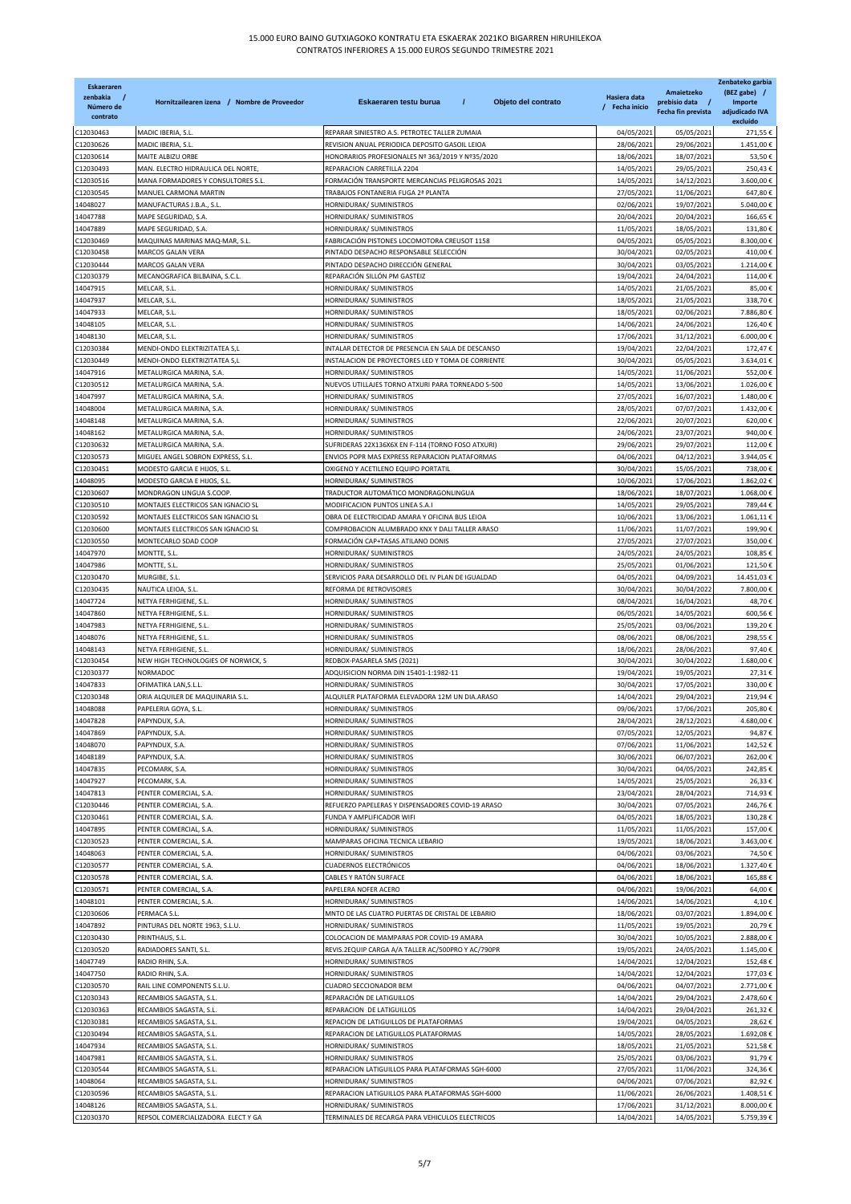| <b>Eskaeraren</b><br>zenbakia<br>Número de | Hornitzailearen izena / Nombre de Proveedor                  | $\prime$<br>Objeto del contrato<br>Eskaeraren testu burua                      | Hasiera data<br>/ Fecha inicio | Amaietzeko<br>prebisio data /<br>Fecha fin prevista | Zenbateko garbia<br>(BEZ gabe) /<br><b>Importe</b><br>adjudicado IVA |
|--------------------------------------------|--------------------------------------------------------------|--------------------------------------------------------------------------------|--------------------------------|-----------------------------------------------------|----------------------------------------------------------------------|
| contrato                                   |                                                              |                                                                                |                                |                                                     | excluído                                                             |
| C12030463                                  | MADIC IBERIA, S.L.                                           | REPARAR SINIESTRO A.S. PETROTEC TALLER ZUMAIA                                  | 04/05/2021                     | 05/05/2021                                          | 271,55€                                                              |
| C12030626                                  | MADIC IBERIA, S.L.                                           | REVISION ANUAL PERIODICA DEPOSITO GASOIL LEIOA                                 | 28/06/2021                     | 29/06/2021                                          | 1.451,00€                                                            |
| C12030614<br>C12030493                     | MAITE ALBIZU ORBE<br>MAN. ELECTRO HIDRAULICA DEL NORTE       | HONORARIOS PROFESIONALES Nº 363/2019 Y Nº35/2020<br>REPARACION CARRETILLA 2204 | 18/06/2021<br>14/05/2021       | 18/07/2021<br>29/05/2021                            | 53,50€<br>250,43€                                                    |
| C12030516                                  | MANA FORMADORES Y CONSULTORES S.L                            | FORMACIÓN TRANSPORTE MERCANCIAS PELIGROSAS 2021                                | 14/05/2021                     | 14/12/2021                                          | 3.600,00€                                                            |
| C12030545                                  | MANUEL CARMONA MARTIN                                        | TRABAJOS FONTANERIA FUGA 2ª PLANTA                                             | 27/05/2021                     | 11/06/2021                                          | 647,80€                                                              |
| 14048027                                   | MANUFACTURAS J.B.A., S.L.                                    | HORNIDURAK/ SUMINISTROS                                                        | 02/06/2021                     | 19/07/2021                                          | 5.040,00€                                                            |
| 14047788                                   | MAPE SEGURIDAD, S.A.                                         | HORNIDURAK/ SUMINISTROS                                                        | 20/04/2021                     | 20/04/2021                                          | 166,65€<br>131,80€                                                   |
| 14047889<br>C12030469                      | MAPE SEGURIDAD, S.A.<br>MAQUINAS MARINAS MAQ-MAR, S.L.       | HORNIDURAK/ SUMINISTROS<br>FABRICACIÓN PISTONES LOCOMOTORA CREUSOT 1158        | 11/05/2021<br>04/05/2021       | 18/05/2021<br>05/05/2021                            | 8.300,00€                                                            |
| C12030458                                  | MARCOS GALAN VERA                                            | PINTADO DESPACHO RESPONSABLE SELECCIÓN                                         | 30/04/2021                     | 02/05/2021                                          | 410,00€                                                              |
| C12030444                                  | MARCOS GALAN VERA                                            | PINTADO DESPACHO DIRECCIÓN GENERAL                                             | 30/04/2021                     | 03/05/2021                                          | 1.214,00€                                                            |
| C12030379                                  | MECANOGRAFICA BILBAINA, S.C.L                                | REPARACIÓN SILLÓN PM GASTEIZ                                                   | 19/04/2021                     | 24/04/2021                                          | 114,00€                                                              |
| 14047915                                   | MELCAR, S.L                                                  | HORNIDURAK/ SUMINISTROS                                                        | 14/05/2021                     | 21/05/2021                                          | 85,00€                                                               |
| 14047937<br>14047933                       | MELCAR, S.L<br>MELCAR, S.L                                   | HORNIDURAK/ SUMINISTROS<br>HORNIDURAK/ SUMINISTROS                             | 18/05/2021<br>18/05/2021       | 21/05/2021<br>02/06/2021                            | 338,70€<br>7.886,80€                                                 |
| 14048105                                   | MELCAR, S.L                                                  | HORNIDURAK/ SUMINISTROS                                                        | 14/06/2021                     | 24/06/2021                                          | 126,40€                                                              |
| 14048130                                   | MELCAR, S.L                                                  | HORNIDURAK/ SUMINISTROS                                                        | 17/06/2021                     | 31/12/2021                                          | 6.000,00€                                                            |
| C12030384                                  | MENDI-ONDO ELEKTRIZITATEA S,L                                | INTALAR DETECTOR DE PRESENCIA EN SALA DE DESCANSO                              | 19/04/2021                     | 22/04/2021                                          | 172,47€                                                              |
| C12030449                                  | MENDI-ONDO ELEKTRIZITATEA S,L                                | INSTALACION DE PROYECTORES LED Y TOMA DE CORRIENTE                             | 30/04/2021                     | 05/05/2021                                          | 3.634,01€                                                            |
| 14047916<br>C12030512                      | METALURGICA MARINA, S.A.<br>METALURGICA MARINA, S.A.         | HORNIDURAK/ SUMINISTROS<br>NUEVOS UTILLAJES TORNO ATXURI PARA TORNEADO S-500   | 14/05/2021<br>14/05/2021       | 11/06/2021<br>13/06/2021                            | 552,00€<br>1.026,00€                                                 |
| 14047997                                   | METALURGICA MARINA, S.A.                                     | HORNIDURAK/ SUMINISTROS                                                        | 27/05/2021                     | 16/07/2021                                          | 1.480,00€                                                            |
| 14048004                                   | METALURGICA MARINA, S.A                                      | HORNIDURAK/ SUMINISTROS                                                        | 28/05/2021                     | 07/07/2021                                          | 1.432,00€                                                            |
| 14048148                                   | METALURGICA MARINA, S.A.                                     | HORNIDURAK/ SUMINISTROS                                                        | 22/06/2021                     | 20/07/2021                                          | 620,00€                                                              |
| 14048162                                   | METALURGICA MARINA, S.A.                                     | HORNIDURAK/ SUMINISTROS                                                        | 24/06/2021                     | 23/07/2021                                          | 940,00€                                                              |
| C12030632                                  | METALURGICA MARINA, S.A.                                     | SUFRIDERAS 22X136X6X EN F-114 (TORNO FOSO ATXURI)                              | 29/06/2021                     | 29/07/2021                                          | 112,00€                                                              |
| C12030573                                  | MIGUEL ANGEL SOBRON EXPRESS, S.L.                            | ENVIOS POPR MAS EXPRESS REPARACION PLATAFORMAS                                 | 04/06/2021                     | 04/12/2021                                          | 3.944,05€                                                            |
| C12030451<br>14048095                      | MODESTO GARCIA E HIJOS, S.L.<br>MODESTO GARCIA E HIJOS, S.L. | OXIGENO Y ACETILENO EQUIPO PORTATIL<br>HORNIDURAK/ SUMINISTROS                 | 30/04/2021<br>10/06/2021       | 15/05/2021<br>17/06/2021                            | 738,00€<br>1.862,02€                                                 |
| C12030607                                  | MONDRAGON LINGUA S.COOP.                                     | TRADUCTOR AUTOMÁTICO MONDRAGONLINGUA                                           | 18/06/2021                     | 18/07/2021                                          | 1.068,00€                                                            |
| C12030510                                  | MONTAJES ELECTRICOS SAN IGNACIO SL                           | MODIFICACION PUNTOS LINEA S.A.I                                                | 14/05/2021                     | 29/05/2021                                          | 789,44€                                                              |
| C12030592                                  | MONTAJES ELECTRICOS SAN IGNACIO SL                           | OBRA DE ELECTRICIDAD AMARA Y OFICINA BUS LEIOA                                 | 10/06/2021                     | 13/06/2021                                          | 1.061,11€                                                            |
| C12030600                                  | MONTAJES ELECTRICOS SAN IGNACIO SL                           | COMPROBACION ALUMBRADO KNX Y DALI TALLER ARASO                                 | 11/06/2021                     | 11/07/2021                                          | 199,90€                                                              |
| C12030550                                  | MONTECARLO SDAD COOP                                         | FORMACIÓN CAP+TASAS ATILANO DONIS                                              | 27/05/2021                     | 27/07/2021                                          | 350,00€                                                              |
| 14047970                                   | MONTTE, S.L                                                  | HORNIDURAK/ SUMINISTROS                                                        | 24/05/2021                     | 24/05/2021                                          | 108,85€<br>121,50€                                                   |
| 14047986<br>C12030470                      | MONTTE, S.L<br>MURGIBE, S.L.                                 | HORNIDURAK/ SUMINISTROS<br>SERVICIOS PARA DESARROLLO DEL IV PLAN DE IGUALDAD   | 25/05/2021<br>04/05/2021       | 01/06/2021<br>04/09/2021                            | 14.451,03€                                                           |
| C12030435                                  | NAUTICA LEIOA, S.L.                                          | REFORMA DE RETROVISORES                                                        | 30/04/2021                     | 30/04/2022                                          | 7.800,00€                                                            |
| 14047724                                   | NETYA FERHIGIENE, S.L.                                       | HORNIDURAK/ SUMINISTROS                                                        | 08/04/2021                     | 16/04/2021                                          | 48,70€                                                               |
| 14047860                                   | NETYA FERHIGIENE, S.L.                                       | HORNIDURAK/ SUMINISTROS                                                        | 06/05/2021                     | 14/05/2021                                          | 600,56€                                                              |
| 14047983                                   | NETYA FERHIGIENE, S.L.                                       | HORNIDURAK/ SUMINISTROS                                                        | 25/05/2021                     | 03/06/2021                                          | 139,20€                                                              |
| 14048076<br>14048143                       | NETYA FERHIGIENE, S.L.<br>NETYA FERHIGIENE, S.L.             | HORNIDURAK/ SUMINISTROS<br>HORNIDURAK/ SUMINISTROS                             | 08/06/2021<br>18/06/2021       | 08/06/2021<br>28/06/2021                            | 298,55€<br>97,40€                                                    |
| C12030454                                  | NEW HIGH TECHNOLOGIES OF NORWICK, S                          | REDBOX-PASARELA SMS (2021)                                                     | 30/04/2021                     | 30/04/2022                                          | 1.680,00€                                                            |
| C12030377                                  | NORMADOC                                                     | ADQUISICION NORMA DIN 15401-1:1982-11                                          | 19/04/2021                     | 19/05/2021                                          | 27,31€                                                               |
| 14047833                                   | OFIMATIKA LAN, S.L.L.                                        | HORNIDURAK/ SUMINISTROS                                                        | 30/04/2021                     | 17/05/2021                                          | 330,00€                                                              |
| C12030348                                  | ORIA ALQUILER DE MAQUINARIA S.L.                             | ALQUILER PLATAFORMA ELEVADORA 12M UN DIA.ARASO                                 | 14/04/2021                     | 29/04/2021                                          | 219,94€                                                              |
| 14048088                                   | PAPELERIA GOYA, S.L.                                         | HORNIDURAK/ SUMINISTROS                                                        | 09/06/2021                     | 17/06/2021                                          | 205,80€                                                              |
| 14047828<br>14047869                       | PAPYNDUX, S.A.<br>PAPYNDUX, S.A.                             | HORNIDURAK/ SUMINISTROS<br>HORNIDURAK/ SUMINISTROS                             | 28/04/2021<br>07/05/2021       | 28/12/2021<br>12/05/2021                            | 4.680,00€<br>94,87€                                                  |
| 14048070                                   | PAPYNDUX, S.A.                                               | HORNIDURAK/ SUMINISTROS                                                        | 07/06/2021                     | 11/06/2021                                          | 142,52€                                                              |
| 14048189                                   | PAPYNDUX, S.A.                                               | HORNIDURAK/ SUMINISTROS                                                        | 30/06/2021                     | 06/07/2021                                          | 262,00€                                                              |
| 14047835                                   | PECOMARK, S.A.                                               | HORNIDURAK/ SUMINISTROS                                                        | 30/04/2021                     | 04/05/2021                                          | 242,85€                                                              |
| 14047927                                   | PECOMARK, S.A.                                               | HORNIDURAK/ SUMINISTROS                                                        | 14/05/2021                     | 25/05/2021                                          | 26,33€                                                               |
| 14047813                                   | PENTER COMERCIAL, S.A.                                       | HORNIDURAK/ SUMINISTROS                                                        | 23/04/2021                     | 28/04/2021                                          | 714,93€                                                              |
| C12030446<br>C12030461                     | PENTER COMERCIAL, S.A.<br>PENTER COMERCIAL, S.A.             | REFUERZO PAPELERAS Y DISPENSADORES COVID-19 ARASO<br>FUNDA Y AMPLIFICADOR WIFI | 30/04/2021<br>04/05/2021       | 07/05/2021<br>18/05/2021                            | 246,76€<br>130,28€                                                   |
| 14047895                                   | PENTER COMERCIAL, S.A.                                       | HORNIDURAK/ SUMINISTROS                                                        | 11/05/2021                     | 11/05/2021                                          | 157,00€                                                              |
| C12030523                                  | PENTER COMERCIAL, S.A.                                       | MAMPARAS OFICINA TECNICA LEBARIO                                               | 19/05/2021                     | 18/06/2021                                          | 3.463,00€                                                            |
| 14048063                                   | PENTER COMERCIAL, S.A.                                       | HORNIDURAK/ SUMINISTROS                                                        | 04/06/2021                     | 03/06/2021                                          | 74,50€                                                               |
| C12030577                                  | PENTER COMERCIAL, S.A.                                       | <b>CUADERNOS ELECTRÓNICOS</b>                                                  | 04/06/2021                     | 18/06/2021                                          | 1.327,40€                                                            |
| C12030578                                  | PENTER COMERCIAL, S.A.                                       | CABLES Y RATÓN SURFACE                                                         | 04/06/2021                     | 18/06/2021                                          | 165,88€                                                              |
| C12030571<br>14048101                      | PENTER COMERCIAL, S.A.<br>PENTER COMERCIAL, S.A.             | PAPELERA NOFER ACERO<br>HORNIDURAK/ SUMINISTROS                                | 04/06/2021<br>14/06/2021       | 19/06/2021<br>14/06/2021                            | 64,00€<br>4,10€                                                      |
| C12030606                                  | PERMACA S.L.                                                 | MNTO DE LAS CUATRO PUERTAS DE CRISTAL DE LEBARIO                               | 18/06/2021                     | 03/07/2021                                          | 1.894,00€                                                            |
| 14047892                                   | PINTURAS DEL NORTE 1963, S.L.U.                              | HORNIDURAK/ SUMINISTROS                                                        | 11/05/2021                     | 19/05/2021                                          | 20,79€                                                               |
| C12030430                                  | PRINTHAUS, S.L.                                              | COLOCACION DE MAMPARAS POR COVID-19 AMARA                                      | 30/04/2021                     | 10/05/2021                                          | 2.888,00€                                                            |
| C12030520                                  | RADIADORES SANTI, S.L.                                       | REVIS.2EQUIP CARGA A/A TALLER AC/500PRO Y AC/790PR                             | 19/05/2021                     | 24/05/2021                                          | 1.145,00€                                                            |
| 14047749                                   | RADIO RHIN, S.A.                                             | HORNIDURAK/ SUMINISTROS                                                        | 14/04/2021                     | 12/04/2021                                          | 152,48€                                                              |
| 14047750<br>C12030570                      | RADIO RHIN, S.A.<br>RAIL LINE COMPONENTS S.L.U.              | HORNIDURAK/ SUMINISTROS<br>CUADRO SECCIONADOR BEM                              | 14/04/2021<br>04/06/2021       | 12/04/2021<br>04/07/2021                            | 177,03€<br>2.771,00€                                                 |
| C12030343                                  | RECAMBIOS SAGASTA, S.L.                                      | REPARACIÓN DE LATIGUILLOS                                                      | 14/04/2021                     | 29/04/2021                                          | 2.478,60€                                                            |
| C12030363                                  | RECAMBIOS SAGASTA, S.L.                                      | REPARACION DE LATIGUILLOS                                                      | 14/04/2021                     | 29/04/2021                                          | 261,32€                                                              |
| C12030381                                  | RECAMBIOS SAGASTA, S.L.                                      | REPACION DE LATIGUILLOS DE PLATAFORMAS                                         | 19/04/2021                     | 04/05/2021                                          | 28,62€                                                               |
| C12030494                                  | RECAMBIOS SAGASTA, S.L.                                      | REPARACION DE LATIGUILLOS PLATAFORMAS                                          | 14/05/2021                     | 28/05/2021                                          | 1.692,08€                                                            |
| 14047934                                   | RECAMBIOS SAGASTA, S.L.                                      | HORNIDURAK/ SUMINISTROS                                                        | 18/05/2021                     | 21/05/2021                                          | 521,58€                                                              |
| 14047981                                   | RECAMBIOS SAGASTA, S.L.                                      | HORNIDURAK/ SUMINISTROS                                                        | 25/05/2021                     | 03/06/2021                                          | 91,79€                                                               |
| C12030544<br>14048064                      | RECAMBIOS SAGASTA, S.L.<br>RECAMBIOS SAGASTA, S.L.           | REPARACION LATIGUILLOS PARA PLATAFORMAS SGH-6000<br>HORNIDURAK/ SUMINISTROS    | 27/05/2021<br>04/06/2021       | 11/06/2021<br>07/06/2021                            | 324,36€<br>82,92€                                                    |
| C12030596                                  | RECAMBIOS SAGASTA, S.L.                                      | REPARACION LATIGUILLOS PARA PLATAFORMAS SGH-6000                               | 11/06/2021                     | 26/06/2021                                          | 1.408,51€                                                            |
| 14048126                                   | RECAMBIOS SAGASTA, S.L.                                      | HORNIDURAK/ SUMINISTROS                                                        | 17/06/2021                     | 31/12/2021                                          | 8.000,00€                                                            |
| C12030370                                  | REPSOL COMERCIALIZADORA ELECT Y GA                           | TERMINALES DE RECARGA PARA VEHICULOS ELECTRICOS                                | 14/04/2021                     | 14/05/2021                                          | 5.759,39€                                                            |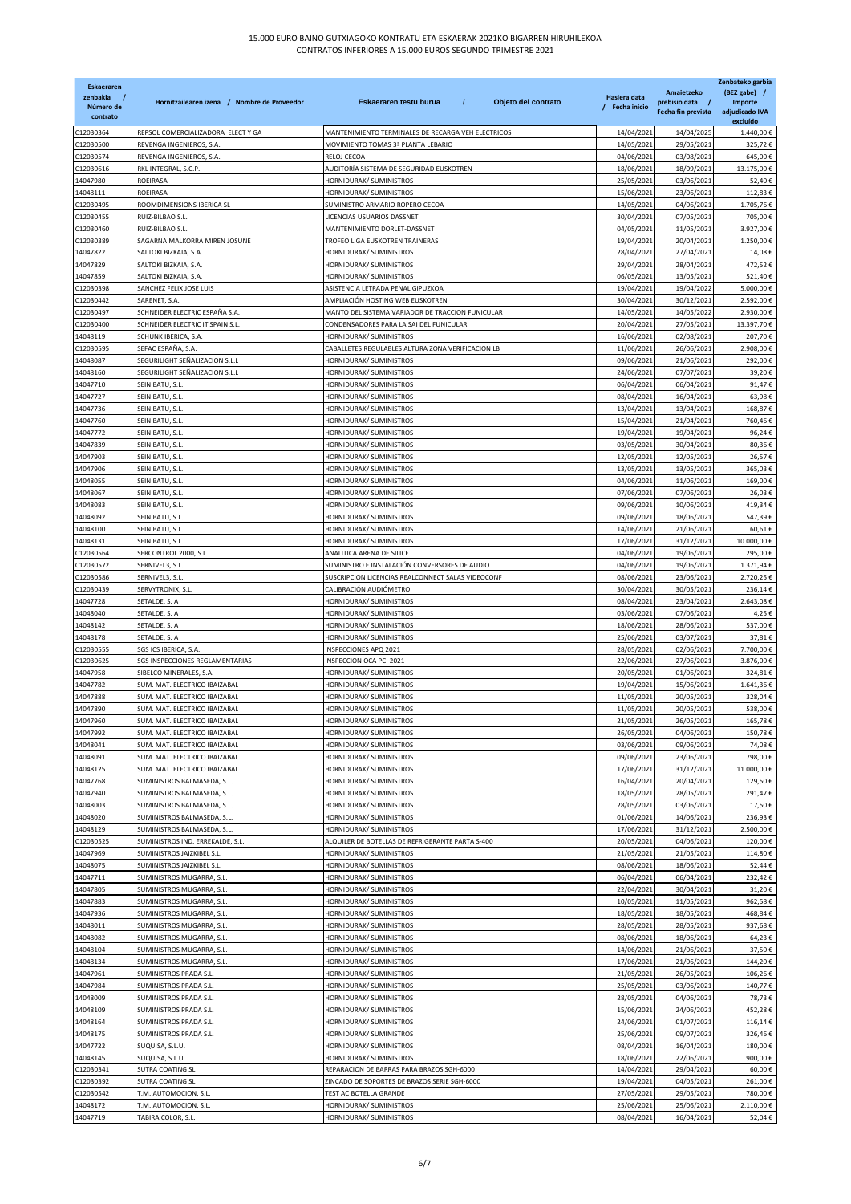| <b>Eskaeraren</b><br>zenbakia<br>Número de<br>contrato | Hornitzailearen izena / Nombre de Proveedor                    | Eskaeraren testu burua<br>$\prime$<br>Objeto del contrato             | Hasiera data<br>/ Fecha inicio | Amaietzeko<br>prebisio data /<br>Fecha fin prevista | Zenbateko garbia<br>(BEZ gabe) /<br><b>Importe</b><br>adjudicado IVA<br>excluído |
|--------------------------------------------------------|----------------------------------------------------------------|-----------------------------------------------------------------------|--------------------------------|-----------------------------------------------------|----------------------------------------------------------------------------------|
| C12030364                                              | REPSOL COMERCIALIZADORA ELECT Y GA                             | MANTENIMIENTO TERMINALES DE RECARGA VEH ELECTRICOS                    | 14/04/2021                     | 14/04/2025                                          | 1.440,00€                                                                        |
| C12030500                                              | REVENGA INGENIEROS, S.A                                        | MOVIMIENTO TOMAS 3ª PLANTA LEBARIO                                    | 14/05/2021                     | 29/05/2021                                          | 325,72€                                                                          |
| C12030574                                              | REVENGA INGENIEROS, S.A.                                       | RELOJ CECOA                                                           | 04/06/2021                     | 03/08/2021                                          | 645,00€                                                                          |
| C12030616                                              | RKL INTEGRAL, S.C.P.                                           | AUDITORÍA SISTEMA DE SEGURIDAD EUSKOTREN                              | 18/06/2021                     | 18/09/2021                                          | 13.175,00€                                                                       |
| 14047980                                               | ROEIRASA<br><b>ROEIRASA</b>                                    | HORNIDURAK/ SUMINISTROS                                               | 25/05/2021                     | 03/06/2021                                          | 52,40€<br>112,83€                                                                |
| 14048111<br>C12030495                                  | ROOMDIMENSIONS IBERICA SL                                      | HORNIDURAK/ SUMINISTROS<br>SUMINISTRO ARMARIO ROPERO CECOA            | 15/06/2021<br>14/05/2021       | 23/06/2021<br>04/06/2021                            | 1.705,76€                                                                        |
| C12030455                                              | RUIZ-BILBAO S.L.                                               | LICENCIAS USUARIOS DASSNET                                            | 30/04/2021                     | 07/05/2021                                          | 705,00€                                                                          |
| C12030460                                              | RUIZ-BILBAO S.L.                                               | MANTENIMIENTO DORLET-DASSNET                                          | 04/05/2021                     | 11/05/2021                                          | 3.927,00€                                                                        |
| C12030389                                              | SAGARNA MALKORRA MIREN JOSUNE                                  | TROFEO LIGA EUSKOTREN TRAINERAS                                       | 19/04/2021                     | 20/04/2021                                          | 1.250,00€                                                                        |
| 14047822                                               | SALTOKI BIZKAIA, S.A.                                          | HORNIDURAK/ SUMINISTROS                                               | 28/04/2021                     | 27/04/2021                                          | 14,08€                                                                           |
| 14047829                                               | SALTOKI BIZKAIA, S.A                                           | HORNIDURAK/ SUMINISTROS                                               | 29/04/2021                     | 28/04/2021                                          | 472,52€                                                                          |
| 14047859                                               | SALTOKI BIZKAIA, S.A.                                          | HORNIDURAK/ SUMINISTROS                                               | 06/05/2021                     | 13/05/2021                                          | 521,40€                                                                          |
| C12030398<br>C12030442                                 | SANCHEZ FELIX JOSE LUIS<br>SARENET, S.A.                       | ASISTENCIA LETRADA PENAL GIPUZKOA<br>AMPLIACIÓN HOSTING WEB EUSKOTREN | 19/04/2021<br>30/04/2021       | 19/04/2022<br>30/12/2021                            | 5.000,00€<br>2.592,00€                                                           |
| C12030497                                              | SCHNEIDER ELECTRIC ESPAÑA S.A.                                 | MANTO DEL SISTEMA VARIADOR DE TRACCION FUNICULAR                      | 14/05/2021                     | 14/05/2022                                          | 2.930,00€                                                                        |
| C12030400                                              | SCHNEIDER ELECTRIC IT SPAIN S.L.                               | CONDENSADORES PARA LA SAI DEL FUNICULAR                               | 20/04/2021                     | 27/05/2021                                          | 13.397,70€                                                                       |
| 14048119                                               | SCHUNK IBERICA, S.A.                                           | HORNIDURAK/ SUMINISTROS                                               | 16/06/2021                     | 02/08/2021                                          | 207,70€                                                                          |
| C12030595                                              | SEFAC ESPAÑA, S.A.                                             | CABALLETES REGULABLES ALTURA ZONA VERIFICACION LB                     | 11/06/2021                     | 26/06/2021                                          | 2.908,00€                                                                        |
| 14048087                                               | SEGURILIGHT SEÑALIZACION S.L.L                                 | HORNIDURAK/ SUMINISTROS                                               | 09/06/2021                     | 21/06/2021                                          | 292,00€                                                                          |
| 14048160                                               | SEGURILIGHT SEÑALIZACION S.L.L                                 | HORNIDURAK/ SUMINISTROS                                               | 24/06/2021                     | 07/07/2021                                          | 39,20€                                                                           |
| 14047710                                               | SEIN BATU, S.L.                                                | HORNIDURAK/ SUMINISTROS                                               | 06/04/2021                     | 06/04/2021                                          | 91,47€                                                                           |
| 14047727                                               | SEIN BATU, S.L.                                                | HORNIDURAK/ SUMINISTROS                                               | 08/04/2021                     | 16/04/2021                                          | 63,98€                                                                           |
| 14047736<br>14047760                                   | SEIN BATU, S.L.<br>SEIN BATU, S.L                              | HORNIDURAK/ SUMINISTROS<br>HORNIDURAK/ SUMINISTROS                    | 13/04/2021<br>15/04/2021       | 13/04/2021<br>21/04/2021                            | 168,87€<br>760,46€                                                               |
| 14047772                                               | SEIN BATU, S.L.                                                | HORNIDURAK/ SUMINISTROS                                               | 19/04/2021                     | 19/04/2021                                          | 96,24€                                                                           |
| 14047839                                               | SEIN BATU, S.L.                                                | HORNIDURAK/ SUMINISTROS                                               | 03/05/2021                     | 30/04/2021                                          | 80,36€                                                                           |
| 14047903                                               | SEIN BATU, S.L.                                                | HORNIDURAK/ SUMINISTROS                                               | 12/05/2021                     | 12/05/2021                                          | 26,57€                                                                           |
| 14047906                                               | SEIN BATU, S.L.                                                | HORNIDURAK/ SUMINISTROS                                               | 13/05/2021                     | 13/05/2021                                          | 365,03€                                                                          |
| 14048055                                               | SEIN BATU, S.L                                                 | HORNIDURAK/ SUMINISTROS                                               | 04/06/2021                     | 11/06/2021                                          | 169,00€                                                                          |
| 14048067                                               | SEIN BATU, S.L.                                                | HORNIDURAK/ SUMINISTROS                                               | 07/06/2021                     | 07/06/2021                                          | 26,03€                                                                           |
| 14048083                                               | SEIN BATU, S.L.                                                | HORNIDURAK/ SUMINISTROS                                               | 09/06/2021                     | 10/06/2021                                          | 419,34€                                                                          |
| 14048092                                               | SEIN BATU, S.L.                                                | HORNIDURAK/ SUMINISTROS                                               | 09/06/2021                     | 18/06/2021                                          | 547,39€                                                                          |
| 14048100                                               | SEIN BATU, S.L.                                                | HORNIDURAK/ SUMINISTROS                                               | 14/06/2021                     | 21/06/2021                                          | 60,61€<br>10.000,00€                                                             |
| 14048131<br>C12030564                                  | SEIN BATU, S.L.<br>SERCONTROL 2000, S.L.                       | HORNIDURAK/ SUMINISTROS<br>ANALITICA ARENA DE SILICE                  | 17/06/2021<br>04/06/2021       | 31/12/2021<br>19/06/2021                            | 295,00€                                                                          |
| C12030572                                              | SERNIVEL3, S.L.                                                | SUMINISTRO E INSTALACIÓN CONVERSORES DE AUDIO                         | 04/06/2021                     | 19/06/2021                                          | 1.371,94€                                                                        |
| C12030586                                              | SERNIVEL3, S.L.                                                | SUSCRIPCION LICENCIAS REALCONNECT SALAS VIDEOCONF                     | 08/06/2021                     | 23/06/2021                                          | 2.720,25€                                                                        |
| C12030439                                              | SERVYTRONIX, S.L.                                              | CALIBRACIÓN AUDIÓMETRO                                                | 30/04/2021                     | 30/05/2021                                          | 236,14€                                                                          |
| 14047728                                               | SETALDE, S. A                                                  | HORNIDURAK/ SUMINISTROS                                               | 08/04/2021                     | 23/04/2021                                          | 2.643,08€                                                                        |
| 14048040                                               | SETALDE, S. A                                                  | HORNIDURAK/ SUMINISTROS                                               | 03/06/2021                     | 07/06/2021                                          | 4,25€                                                                            |
| 14048142                                               | SETALDE, S. A                                                  | HORNIDURAK/ SUMINISTROS                                               | 18/06/2021                     | 28/06/2021                                          | 537,00€                                                                          |
| 14048178                                               | SETALDE, S. A                                                  | HORNIDURAK/ SUMINISTROS                                               | 25/06/2021                     | 03/07/2021                                          | 37,81€                                                                           |
| C12030555<br>C12030625                                 | SGS ICS IBERICA, S.A.<br>SGS INSPECCIONES REGLAMENTARIAS       | INSPECCIONES APQ 2021<br>INSPECCION OCA PCI 2021                      | 28/05/2021<br>22/06/2021       | 02/06/2021<br>27/06/2021                            | 7.700,00 €<br>3.876,00€                                                          |
| 14047958                                               | SIBELCO MINERALES, S.A.                                        | HORNIDURAK/ SUMINISTROS                                               | 20/05/2021                     | 01/06/2021                                          | 324,81€                                                                          |
| 14047782                                               | SUM. MAT. ELECTRICO IBAIZABAL                                  | HORNIDURAK/ SUMINISTROS                                               | 19/04/2021                     | 15/06/2021                                          | 1.641,36€                                                                        |
| 14047888                                               | SUM. MAT. ELECTRICO IBAIZABAL                                  | HORNIDURAK/ SUMINISTROS                                               | 11/05/2021                     | 20/05/2021                                          | 328,04€                                                                          |
| 14047890                                               | SUM. MAT. ELECTRICO IBAIZABAL                                  | HORNIDURAK/ SUMINISTROS                                               | 11/05/2021                     | 20/05/2021                                          | 538,00€                                                                          |
| 14047960                                               | SUM. MAT. ELECTRICO IBAIZABAL                                  | HORNIDURAK/ SUMINISTROS                                               | 21/05/2021                     | 26/05/2021                                          | 165,78€                                                                          |
| 14047992                                               | SUM. MAT. ELECTRICO IBAIZABAL                                  | HORNIDURAK/ SUMINISTROS                                               | 26/05/2021                     | 04/06/2021                                          | 150,78€                                                                          |
| 14048041                                               | SUM. MAT. ELECTRICO IBAIZABAL                                  | HORNIDURAK/ SUMINISTROS                                               | 03/06/2021                     | 09/06/2021                                          | 74,08€                                                                           |
| 14048091<br>14048125                                   | SUM. MAT. ELECTRICO IBAIZABAL<br>SUM. MAT. ELECTRICO IBAIZABAL | HORNIDURAK/ SUMINISTROS<br>HORNIDURAK/ SUMINISTROS                    | 09/06/2021<br>17/06/2021       | 23/06/2021<br>31/12/2021                            | 798,00€<br>11.000,00€                                                            |
| 14047768                                               | SUMINISTROS BALMASEDA, S.L.                                    | HORNIDURAK/ SUMINISTROS                                               | 16/04/2021                     | 20/04/2021                                          | 129,50€                                                                          |
| 14047940                                               | SUMINISTROS BALMASEDA, S.L.                                    | HORNIDURAK/ SUMINISTROS                                               | 18/05/2021                     | 28/05/2021                                          | 291,47€                                                                          |
| 14048003                                               | SUMINISTROS BALMASEDA, S.L.                                    | HORNIDURAK/ SUMINISTROS                                               | 28/05/2021                     | 03/06/2021                                          | 17,50€                                                                           |
| 14048020                                               | SUMINISTROS BALMASEDA, S.L.                                    | HORNIDURAK/ SUMINISTROS                                               | 01/06/2021                     | 14/06/2021                                          | 236,93€                                                                          |
| 14048129                                               | SUMINISTROS BALMASEDA, S.L.                                    | HORNIDURAK/ SUMINISTROS                                               | 17/06/2021                     | 31/12/2021                                          | 2.500,00€                                                                        |
| C12030525                                              | SUMINISTROS IND. ERREKALDE, S.L.                               | ALQUILER DE BOTELLAS DE REFRIGERANTE PARTA S-400                      | 20/05/2021                     | 04/06/2021                                          | 120,00€                                                                          |
| 14047969                                               | SUMINISTROS JAIZKIBEL S.L.                                     | HORNIDURAK/ SUMINISTROS                                               | 21/05/2021                     | 21/05/2021                                          | 114,80€                                                                          |
| 14048075                                               | SUMINISTROS JAIZKIBEL S.L.                                     | HORNIDURAK/ SUMINISTROS                                               | 08/06/2021                     | 18/06/2021                                          | 52,44€                                                                           |
| 14047711                                               | SUMINISTROS MUGARRA, S.L.                                      | HORNIDURAK/ SUMINISTROS                                               | 06/04/2021                     | 06/04/2021                                          | 232,42€                                                                          |
| 14047805<br>14047883                                   | SUMINISTROS MUGARRA, S.L.<br>SUMINISTROS MUGARRA, S.L.         | HORNIDURAK/ SUMINISTROS<br>HORNIDURAK/ SUMINISTROS                    | 22/04/2021<br>10/05/2021       | 30/04/2021<br>11/05/2021                            | 31,20€<br>962,58€                                                                |
| 14047936                                               | SUMINISTROS MUGARRA, S.L.                                      | HORNIDURAK/ SUMINISTROS                                               | 18/05/2021                     | 18/05/2021                                          | 468,84€                                                                          |
| 14048011                                               | SUMINISTROS MUGARRA, S.L.                                      | HORNIDURAK/ SUMINISTROS                                               | 28/05/2021                     | 28/05/2021                                          | 937,68€                                                                          |
| 14048082                                               | SUMINISTROS MUGARRA, S.L.                                      | HORNIDURAK/ SUMINISTROS                                               | 08/06/2021                     | 18/06/2021                                          | 64,23€                                                                           |
| 14048104                                               | SUMINISTROS MUGARRA, S.L.                                      | HORNIDURAK/ SUMINISTROS                                               | 14/06/2021                     | 21/06/2021                                          | 37,50€                                                                           |
| 14048134                                               | SUMINISTROS MUGARRA, S.L.                                      | HORNIDURAK/ SUMINISTROS                                               | 17/06/2021                     | 21/06/2021                                          | 144,20€                                                                          |
| 14047961                                               | SUMINISTROS PRADA S.L.                                         | HORNIDURAK/ SUMINISTROS                                               | 21/05/2021                     | 26/05/2021                                          | 106,26€                                                                          |
| 14047984                                               | SUMINISTROS PRADA S.L                                          | HORNIDURAK/ SUMINISTROS                                               | 25/05/2021                     | 03/06/2021                                          | 140,77€                                                                          |
| 14048009                                               | SUMINISTROS PRADA S.L.                                         | HORNIDURAK/ SUMINISTROS                                               | 28/05/2021                     | 04/06/2021                                          | 78,73€                                                                           |
| 14048109<br>14048164                                   | SUMINISTROS PRADA S.L.                                         | HORNIDURAK/ SUMINISTROS                                               | 15/06/2021                     | 24/06/2021                                          | 452,28€<br>116,14€                                                               |
| 14048175                                               | SUMINISTROS PRADA S.L<br>SUMINISTROS PRADA S.L.                | HORNIDURAK/ SUMINISTROS<br>HORNIDURAK/ SUMINISTROS                    | 24/06/2021<br>25/06/2021       | 01/07/2021<br>09/07/2021                            | 326,46€                                                                          |
| 14047722                                               | SUQUISA, S.L.U.                                                | HORNIDURAK/ SUMINISTROS                                               | 08/04/2021                     | 16/04/2021                                          | 180,00€                                                                          |
| 14048145                                               | SUQUISA, S.L.U.                                                | HORNIDURAK/ SUMINISTROS                                               | 18/06/2021                     | 22/06/2021                                          | 900,00€                                                                          |
| C12030341                                              | SUTRA COATING SL                                               | REPARACION DE BARRAS PARA BRAZOS SGH-6000                             | 14/04/2021                     | 29/04/2021                                          | 60,00€                                                                           |
| C12030392                                              | SUTRA COATING SL                                               | ZINCADO DE SOPORTES DE BRAZOS SERIE SGH-6000                          | 19/04/2021                     | 04/05/2021                                          | 261,00€                                                                          |
| C12030542                                              | T.M. AUTOMOCION, S.L.                                          | TEST AC BOTELLA GRANDE                                                | 27/05/2021                     | 29/05/2021                                          | 780,00€                                                                          |
| 14048172                                               | T.M. AUTOMOCION, S.L.                                          | HORNIDURAK/ SUMINISTROS                                               | 25/06/2021                     | 25/06/2021                                          | 2.110,00€                                                                        |
| 14047719                                               | TABIRA COLOR, S.L.                                             | HORNIDURAK/ SUMINISTROS                                               | 08/04/2021                     | 16/04/2021                                          | 52,04€                                                                           |